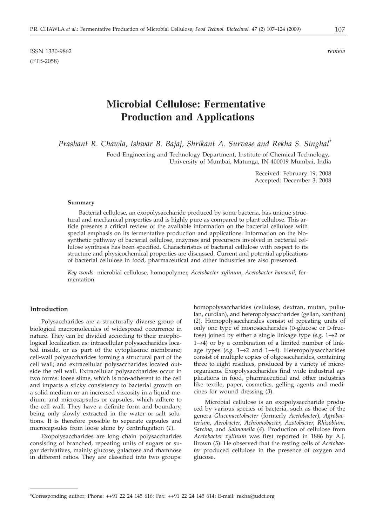ISSN 1330-9862 *review* (FTB-2058)

# **Microbial Cellulose: Fermentative Production and Applications**

*Prashant R. Chawla, Ishwar B. Bajaj, Shrikant A. Survase and Rekha S. Singhal\**

Food Engineering and Technology Department, Institute of Chemical Technology, University of Mumbai, Matunga, IN-400019 Mumbai, India

> Received: February 19, 2008 Accepted: December 3, 2008

#### **Summary**

Bacterial cellulose, an exopolysaccharide produced by some bacteria, has unique structural and mechanical properties and is highly pure as compared to plant cellulose. This article presents a critical review of the available information on the bacterial cellulose with special emphasis on its fermentative production and applications. Information on the biosynthetic pathway of bacterial cellulose, enzymes and precursors involved in bacterial cellulose synthesis has been specified. Characteristics of bacterial cellulose with respect to its structure and physicochemical properties are discussed. Current and potential applications of bacterial cellulose in food, pharmaceutical and other industries are also presented.

*Key words*: microbial cellulose, homopolymer, *Acetobacter xylinum*, *Acetobacter hansenii*, fermentation

## **Introduction**

Polysaccharides are a structurally diverse group of biological macromolecules of widespread occurrence in nature. They can be divided according to their morphological localization as: intracellular polysaccharides located inside, or as part of the cytoplasmic membrane; cell-wall polysaccharides forming a structural part of the cell wall; and extracellular polysaccharides located outside the cell wall. Extracellular polysaccharides occur in two forms: loose slime, which is non-adherent to the cell and imparts a sticky consistency to bacterial growth on a solid medium or an increased viscosity in a liquid medium; and microcapsules or capsules, which adhere to the cell wall. They have a definite form and boundary, being only slowly extracted in the water or salt solutions. It is therefore possible to separate capsules and microcapsules from loose slime by centrifugation (*1*).

Exopolysaccharides are long chain polysaccharides consisting of branched, repeating units of sugars or sugar derivatives, mainly glucose, galactose and rhamnose in different ratios. They are classified into two groups:

homopolysaccharides (cellulose, dextran, mutan, pullulan, curdlan), and heteropolysaccharides (gellan, xanthan) (*2*). Homopolysaccharides consist of repeating units of only one type of monosaccharides (D-glucose or D-fructose) joined by either a single linkage type  $(e.g. 1\rightarrow 2$  or  $1\rightarrow 4$ ) or by a combination of a limited number of linkage types  $(e.g. 1\rightarrow 2$  and  $1\rightarrow 4)$ . Heteropolysaccharides consist of multiple copies of oligosaccharides, containing three to eight residues, produced by a variety of microorganisms. Exopolysaccharides find wide industrial applications in food, pharmaceutical and other industries like textile, paper, cosmetics, gelling agents and medicines for wound dressing (*3*).

Microbial cellulose is an exopolysaccharide produced by various species of bacteria, such as those of the genera *Gluconacetobacter* (formerly *Acetobacter*), *Agrobacterium*, *Aerobacter*, *Achromobacter*, *Azotobacter*, *Rhizobium*, *Sarcina*, and *Salmonella* (*4*). Production of cellulose from *Acetobacter xylinum* was first reported in 1886 by A.J. Brown (*5*). He observed that the resting cells of *Acetobacter* produced cellulose in the presence of oxygen and glucose.

<sup>\*</sup>Corresponding author; Phone:  $++91$  22 24 145 616; Fax:  $++91$  22 24 145 614; E-mail: rekha@udct.org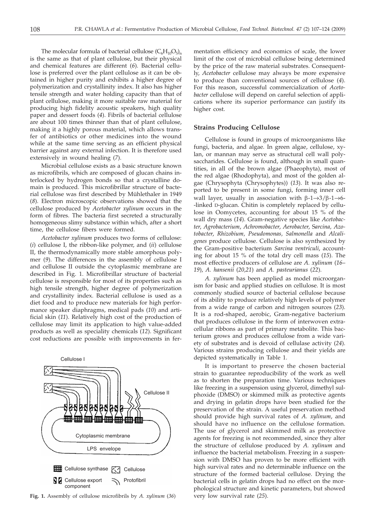The molecular formula of bacterial cellulose  $(C_6H_{10}O_5)_n$ is the same as that of plant cellulose, but their physical and chemical features are different (*6*). Bacterial cellulose is preferred over the plant cellulose as it can be obtained in higher purity and exhibits a higher degree of polymerization and crystallinity index. It also has higher tensile strength and water holding capacity than that of plant cellulose, making it more suitable raw material for producing high fidelity acoustic speakers, high quality paper and dessert foods (*4*). Fibrils of bacterial cellulose are about 100 times thinner than that of plant cellulose, making it a highly porous material, which allows transfer of antibiotics or other medicines into the wound while at the same time serving as an efficient physical barrier against any external infection. It is therefore used extensively in wound healing (*7*).

Microbial cellulose exists as a basic structure known as microfibrils, which are composed of glucan chains interlocked by hydrogen bonds so that a crystalline domain is produced. This microfibrillar structure of bacterial cellulose was first described by Mühlethaler in 1949 (*8*). Electron microscopic observations showed that the cellulose produced by *Acetobacter xylinum* occurs in the form of fibres. The bacteria first secreted a structurally homogeneous slimy substance within which, after a short time, the cellulose fibers were formed.

*Acetobacter xylinum* produces two forms of cellulose: (*i*) cellulose I, the ribbon-like polymer, and (*ii*) cellulose II, the thermodynamically more stable amorphous polymer (*9*). The differences in the assembly of cellulose I and cellulose II outside the cytoplasmic membrane are described in Fig. 1. Microfibrillar structure of bacterial cellulose is responsible for most of its properties such as high tensile strength, higher degree of polymerization and crystallinity index. Bacterial cellulose is used as a diet food and to produce new materials for high performance speaker diaphragms, medical pads (*10*) and artificial skin (*11*). Relatively high cost of the production of cellulose may limit its application to high value-added products as well as speciality chemicals (*12*). Significant cost reductions are possible with improvements in fer-



**Fig. 1.** Assembly of cellulose microfibrils by *A. xylinum* (*36*)

mentation efficiency and economics of scale, the lower limit of the cost of microbial cellulose being determined by the price of the raw material substrates. Consequently, *Acetobacter* cellulose may always be more expensive to produce than conventional sources of cellulose (*4*). For this reason, successful commercialization of *Acetobacter* cellulose will depend on careful selection of applications where its superior performance can justify its higher cost.

## **Strains Producing Cellulose**

Cellulose is found in groups of microorganisms like fungi, bacteria, and algae. In green algae, cellulose, xylan, or mannan may serve as structural cell wall polysaccharides. Cellulose is found, although in small quantities, in all of the brown algae (Phaeophyta), most of the red algae (Rhodophyta), and most of the golden algae (Chrysophyta (Chrysophytes)) (*13*). It was also reported to be present in some fungi, forming inner cell wall layer, usually in association with  $\beta$ -1 $\rightarrow$ 3/ $\beta$ -1 $\rightarrow$ 6--linked D-glucan. Chitin is completely replaced by cellulose in Oomycetes, accounting for about 15 % of the wall dry mass (*14*). Gram-negative species like *Acetobacter*, *Agrobacterium*, *Achromobacter*, *Aerobacter*, S*arcina, Azotobacter*, *Rhizobium, Pseudomonas, Salmonella* and *Alcaligenes* produce cellulose. Cellulose is also synthesized by the Gram-positive bacterium *Sarcina ventriculi*, accounting for about 15 % of the total dry cell mass (*15*). The most effective producers of cellulose are *A. xylinum* (*16*– *19*), *A. hansenii* (*20*,*21*) and *A. pasteurianus* (*22*).

*A. xylinum* has been applied as model microorganism for basic and applied studies on cellulose. It is most commonly studied source of bacterial cellulose because of its ability to produce relatively high levels of polymer from a wide range of carbon and nitrogen sources (*23*). It is a rod-shaped, aerobic, Gram-negative bacterium that produces cellulose in the form of interwoven extracellular ribbons as part of primary metabolite. This bacterium grows and produces cellulose from a wide variety of substrates and is devoid of cellulase activity (*24*). Various strains producing cellulose and their yields are depicted systematically in Table 1.

It is important to preserve the chosen bacterial strain to guarantee reproducibility of the work as well as to shorten the preparation time. Various techniques like freezing in a suspension using glycerol, dimethyl sulphoxide (DMSO) or skimmed milk as protective agents and drying in gelatin drops have been studied for the preservation of the strain. A useful preservation method should provide high survival rates of *A. xylinum*, and should have no influence on the cellulose formation. The use of glycerol and skimmed milk as protective agents for freezing is not recommended, since they alter the structure of cellulose produced by *A. xylinum* and influence the bacterial metabolism. Freezing in a suspension with DMSO has proven to be more efficient with high survival rates and no determinable influence on the structure of the formed bacterial cellulose. Drying the bacterial cells in gelatin drops had no effect on the morphological structure and kinetic parameters, but showed very low survival rate (*25*).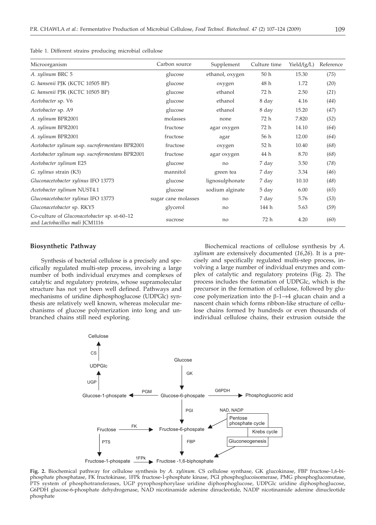Table 1. Different strains producing microbial cellulose

| Microorganism                                                                  | Carbon source       | Supplement      | Culture time | Yield/(g/L) | Reference |
|--------------------------------------------------------------------------------|---------------------|-----------------|--------------|-------------|-----------|
| A. xylinum BRC 5                                                               | glucose             | ethanol, oxygen | 50h          | 15.30       | (75)      |
| G. hansenii PJK (KCTC 10505 BP)                                                | glucose             | oxygen          | 48 h         | 1.72        | (20)      |
| G. hansenii PJK (KCTC 10505 BP)                                                | glucose             | ethanol         | 72 h         | 2.50        | (21)      |
| Acetobacter sp. V6                                                             | glucose             | ethanol         | 8 day        | 4.16        | (44)      |
| Acetobacter sp. A9                                                             | glucose             | ethanol         | 8 day        | 15.20       | (47)      |
| A. xylinum BPR2001                                                             | molasses            | none            | 72 h         | 7.820       | (52)      |
| A. xylinum BPR2001                                                             | fructose            | agar oxygen     | 72 h         | 14.10       | (64)      |
| A. xylinum BPR2001                                                             | fructose            | agar            | 56 h         | 12.00       | (64)      |
| Acetobacter xylinum ssp. sucrofermentans BPR2001                               | fructose            | oxygen          | 52 h         | 10.40       | (68)      |
| Acetobacter xylinum ssp. sucrofermentans BPR2001                               | fructose            | agar oxygen     | 44 h         | 8.70        | (68)      |
| Acetobacter xylinum E25                                                        | glucose             | no              | 7 day        | 3.50        | (78)      |
| G. xylinus strain (K3)                                                         | mannitol            | green tea       | 7 day        | 3.34        | (46)      |
| Gluconacetobacter xylinus IFO 13773                                            | glucose             | lignosulphonate | 7 day        | 10.10       | (48)      |
| Acetobacter xylinum NUST4.1                                                    | glucose             | sodium alginate | 5 day        | 6.00        | (65)      |
| Gluconacetobacter xylinus IFO 13773                                            | sugar cane molasses | no              | 7 day        | 5.76        | (53)      |
| Gluconacetobacter sp. RKY5                                                     | glycerol            | no              | 144 h        | 5.63        | (59)      |
| Co-culture of Gluconacetobacter sp. st-60-12<br>and Lactobacillus mali JCM1116 | sucrose             | no              | 72 h         | 4.20        | (60)      |

#### **Biosynthetic Pathway**

Synthesis of bacterial cellulose is a precisely and specifically regulated multi-step process, involving a large number of both individual enzymes and complexes of catalytic and regulatory proteins, whose supramolecular structure has not yet been well defined. Pathways and mechanisms of uridine diphosphoglucose (UDPGlc) synthesis are relatively well known, whereas molecular mechanisms of glucose polymerization into long and unbranched chains still need exploring.

Biochemical reactions of cellulose synthesis by *A. xylinum* are extensively documented (*16*,*26*). It is a precisely and specifically regulated multi-step process, involving a large number of individual enzymes and complex of catalytic and regulatory proteins (Fig. 2). The process includes the formation of UDPGlc, which is the precursor in the formation of cellulose, followed by glucose polymerization into the  $\beta$ -1 $\rightarrow$ 4 glucan chain and a nascent chain which forms ribbon-like structure of cellulose chains formed by hundreds or even thousands of individual cellulose chains, their extrusion outside the



**Fig. 2.** Biochemical pathway for cellulose synthesis by *A. xylinum*. CS cellulose synthase, GK glucokinase, FBP fructose-1,6-biphosphate phosphatase, FK fructokinase, 1FPk fructose-1-phosphate kinase, PGI phosphoglucoisomerase, PMG phosphoglucomutase, PTS system of phosphotransferases, UGP pyrophosphorylase uridine diphosphoglucose, UDPGlc uridine diphosphoglucose, G6PDH glucose-6-phosphate dehydrogenase, NAD nicotinamide adenine dinucleotide, NADP nicotinamide adenine dinucleotide phosphate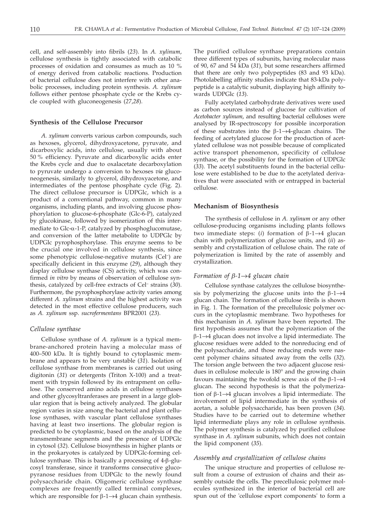cell, and self-assembly into fibrils (*23*). In *A. xylinum*, cellulose synthesis is tightly associated with catabolic processes of oxidation and consumes as much as 10 % of energy derived from catabolic reactions. Production of bacterial cellulose does not interfere with other anabolic processes, including protein synthesis. *A. xylinum* follows either pentose phosphate cycle or the Krebs cycle coupled with gluconeogenesis (*27*,*28*).

# **Synthesis of the Cellulose Precursor**

*A. xylinum* converts various carbon compounds, such as hexoses, glycerol, dihydroxyacetone, pyruvate, and dicarboxylic acids, into cellulose, usually with about 50 % efficiency. Pyruvate and dicarboxylic acids enter the Krebs cycle and due to oxalacetate decarboxylation to pyruvate undergo a conversion to hexoses *via* gluconeogenesis, similarly to glycerol, dihydroxyacetone, and intermediates of the pentose phosphate cycle (Fig. 2). The direct cellulose precursor is UDPGlc, which is a product of a conventional pathway, common in many organisms, including plants, and involving glucose phosphorylation to glucose-6-phosphate (Glc-6-P), catalyzed by glucokinase, followed by isomerization of this intermediate to Glc- $\alpha$ -1-P, catalyzed by phosphoglucomutase, and conversion of the latter metabolite to UDPGlc by UDPGlc pyrophosphorylase. This enzyme seems to be the crucial one involved in cellulose synthesis, since some phenotypic cellulose-negative mutants (Cel<sup>-</sup>) are specifically deficient in this enzyme (*29*), although they display cellulose synthase (CS) activity, which was confirmed *in vitro* by means of observation of cellulose synthesis, catalyzed by cell-free extracts of Cel– strains (*30*). Furthermore, the pyrophosphorylase activity varies among different *A. xylinum* strains and the highest activity was detected in the most effective cellulose producers, such as *A. xylinum* ssp. *sucrofermentans* BPR2001 (*23*).

#### *Cellulose synthase*

Cellulose synthase of *A. xylinum* is a typical membrane-anchored protein having a molecular mass of 400–500 kDa. It is tightly bound to cytoplasmic membrane and appears to be very unstable (*31*). Isolation of cellulose synthase from membranes is carried out using digitonin (*31*) or detergents (Triton X-100) and a treatment with trypsin followed by its entrapment on cellulose. The conserved amino acids in cellulose synthases and other glycosyltranferases are present in a large globular region that is being actively analyzed. The globular region varies in size among the bacterial and plant cellulose synthases, with vascular plant cellulose synthases having at least two insertions. The globular region is predicted to be cytoplasmic, based on the analysis of the transmembrane segments and the presence of UDPGlc in cytosol (*32*). Cellulose biosynthesis in higher plants or in the prokaryotes is catalyzed by UDPGlc-forming cellulose synthase. This is basically a processing of  $4-\beta$ -glucosyl transferase, since it transforms consecutive glucopyranose residues from UDPGlc to the newly found polysaccharide chain. Oligomeric cellulose synthase complexes are frequently called terminal complexes, which are responsible for  $\beta$ -1 $\rightarrow$ 4 glucan chain synthesis.

The purified cellulose synthase preparations contain three different types of subunits, having molecular mass of 90, 67 and 54 kDa (*31*), but some researchers affirmed that there are only two polypeptides (83 and 93 kDa). Photolabelling affinity studies indicate that 83-kDa polypeptide is a catalytic subunit, displaying high affinity towards UDPGlc (*13*).

Fully acetylated carbohydrate derivatives were used as carbon sources instead of glucose for cultivation of *Acetobacter xylinum*, and resulting bacterial celluloses were analysed by IR-spectroscopy for possible incorporation of these substrates into the  $\beta$ -1 $\rightarrow$ 4-glucan chains. The feeding of acetylated glucose for the production of acetylated cellulose was not possible because of complicated active transport phenomenon, specificity of cellulose synthase, or the possibility for the formation of UDPGlc (*33*). The acetyl substituents found in the bacterial cellulose were established to be due to the acetylated derivatives that were associated with or entrapped in bacterial cellulose.

## **Mechanism of Biosynthesis**

The synthesis of cellulose in *A. xylinum* or any other cellulose-producing organisms including plants follows two immediate steps: (*i*) formation of  $\beta$ -1 $\rightarrow$ 4 glucan chain with polymerization of glucose units, and (*ii*) assembly and crystallization of cellulose chain. The rate of polymerization is limited by the rate of assembly and crystallization.

## *Formation of b-14 glucan chain*

Cellulose synthase catalyzes the cellulose biosynthesis by polymerizing the glucose units into the  $\beta$ -1 $\rightarrow$ 4 glucan chain. The formation of cellulose fibrils is shown in Fig. 1. The formation of the precellulosic polymer occurs in the cytoplasmic membrane. Two hypotheses for this mechanism in *A. xylinum* have been reported. The first hypothesis assumes that the polymerization of the  $\beta$ -1 $\rightarrow$ 4 glucan does not involve a lipid intermediate. The glucose residues were added to the nonreducing end of the polysaccharide, and those reducing ends were nascent polymer chains situated away from the cells (*32*). The torsion angle between the two adjacent glucose residues in cellulose molecule is 180° and the growing chain favours maintaining the twofold screw axis of the  $\beta$ -1 $\rightarrow$ 4 glucan. The second hypothesis is that the polymerization of  $\beta$ -1 $\rightarrow$ 4 glucan involves a lipid intermediate. The involvement of lipid intermediate in the synthesis of acetan, a soluble polysaccharide, has been proven (*34*). Studies have to be carried out to determine whether lipid intermediate plays any role in cellulose synthesis. The polymer synthesis is catalyzed by purified cellulose synthase in *A. xylinum* subunits, which does not contain the lipid component (*35*).

## *Assembly and crystallization of cellulose chains*

The unique structure and properties of cellulose result from a course of extrusion of chains and their assembly outside the cells. The precellulosic polymer molecules synthesized in the interior of bacterial cell are spun out of the 'cellulose export components' to form a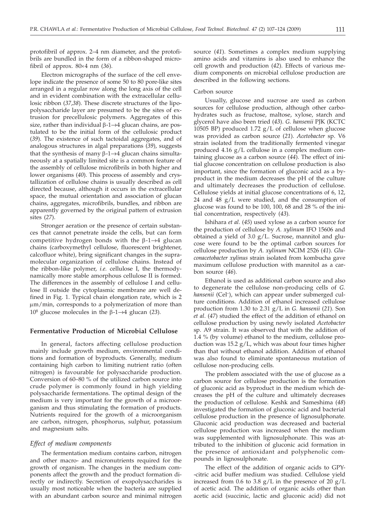protofibril of approx. 2–4 nm diameter, and the protofibrils are bundled in the form of a ribbon-shaped microfibril of approx.  $80 \times 4$  nm (36).

Electron micrographs of the surface of the cell envelope indicate the presence of some 50 to 80 pore-like sites arranged in a regular row along the long axis of the cell and in evident combination with the extracellular cellulosic ribbon (*37*,*38*). These discrete structures of the lipopolysaccharide layer are presumed to be the sites of extrusion for precellulosic polymers. Aggregates of this size, rather than individual  $\beta$ -1 $\rightarrow$ 4 glucan chains, are postulated to be the initial form of the cellulosic product (*39*). The existence of such tactoidal aggregates, and of analogous structures in algal preparations (*39*), suggests that the synthesis of many  $\beta$ -1 $\rightarrow$ 4 glucan chains simultaneously at a spatially limited site is a common feature of the assembly of cellulose microfibrils in both higher and lower organisms (*40*). This process of assembly and crystallization of cellulose chains is usually described as cell directed because, although it occurs in the extracellular space, the mutual orientation and association of glucan chains, aggregates, microfibrils, bundles, and ribbon are apparently governed by the original pattern of extrusion sites (*27*).

Stronger aeration or the presence of certain substances that cannot penetrate inside the cells, but can form competitive hydrogen bonds with the  $\beta$ -1 $\rightarrow$ 4 glucan chains (carboxymethyl cellulose, fluorescent brightener, calcofluor white), bring significant changes in the supramolecular organization of cellulose chains. Instead of the ribbon-like polymer, *i.e.* cellulose I, the thermodynamically more stable amorphous cellulose II is formed. The differences in the assembly of cellulose I and cellulose II outside the cytoplasmic membrane are well defined in Fig. 1. Typical chain elongation rate, which is 2 mm/min, corresponds to a polymerization of more than 10<sup>8</sup> glucose molecules in the β-1→4 glucan (23).

## **Fermentative Production of Microbial Cellulose**

In general, factors affecting cellulose production mainly include growth medium, environmental conditions and formation of byproducts. Generally, medium containing high carbon to limiting nutrient ratio (often nitrogen) is favourable for polysaccharide production. Conversion of 60–80 % of the utilized carbon source into crude polymer is commonly found in high yielding polysaccharide fermentations. The optimal design of the medium is very important for the growth of a microorganism and thus stimulating the formation of products. Nutrients required for the growth of a microorganism are carbon, nitrogen, phosphorus, sulphur, potassium and magnesium salts.

#### *Effect of medium components*

The fermentation medium contains carbon, nitrogen and other macro- and micronutrients required for the growth of organism. The changes in the medium components affect the growth and the product formation directly or indirectly. Secretion of exopolysaccharides is usually most noticeable when the bacteria are supplied with an abundant carbon source and minimal nitrogen source (*41*). Sometimes a complex medium supplying amino acids and vitamins is also used to enhance the cell growth and production (*42*). Effects of various medium components on microbial cellulose production are described in the following sections.

## Carbon source

Usually, glucose and sucrose are used as carbon sources for cellulose production, although other carbohydrates such as fructose, maltose, xylose, starch and glycerol have also been tried (*43*). *G. hansenii* PJK (KCTC 10505 BP) produced 1.72  $g/L$  of cellulose when glucose was provided as carbon source (*21*). *Acetobacter* sp. V6 strain isolated from the traditionally fermented vinegar produced 4.16 g/L cellulose in a complex medium containing glucose as a carbon source (*44*). The effect of initial glucose concentration on cellulose production is also important, since the formation of gluconic acid as a byproduct in the medium decreases the pH of the culture and ultimately decreases the production of cellulose. Cellulose yields at initial glucose concentrations of 6, 12, 24 and 48 g/L were studied, and the consumption of glucose was found to be 100, 100, 68 and 28 % of the initial concentration, respectively (*43*).

Ishihara *et al*. (*45*) used xylose as a carbon source for the production of cellulose by *A. xylinum* IFO 15606 and obtained a yield of 3.0 g/L. Sucrose, mannitol and glucose were found to be the optimal carbon sources for cellulose production by *A. xylinum* NCIM 2526 (*41*). *Gluconacetobacter xylinus* strain isolated from kombucha gave maximum cellulose production with mannitol as a carbon source (*46*).

Ethanol is used as additional carbon source and also to degenerate the cellulose non-producing cells of *G. hansenii* (Cel–), which can appear under submerged culture conditions. Addition of ethanol increased cellulose production from 1.30 to 2.31 g/L in *G. hansenii* (*21*). Son *et al*. (*47*) studied the effect of the addition of ethanol on cellulose production by using newly isolated *Acetobacter* sp. A9 strain. It was observed that with the addition of 1.4 % (by volume) ethanol to the medium, cellulose production was 15.2 g/L, which was about four times higher than that without ethanol addition. Addition of ethanol was also found to eliminate spontaneous mutation of cellulose non-producing cells.

The problem associated with the use of glucose as a carbon source for cellulose production is the formation of gluconic acid as byproduct in the medium which decreases the pH of the culture and ultimately decreases the production of cellulose. Keshk and Sameshima (*48*) investigated the formation of gluconic acid and bacterial cellulose production in the presence of lignosulphonate. Gluconic acid production was decreased and bacterial cellulose production was increased when the medium was supplemented with lignosulphonate. This was attributed to the inhibition of gluconic acid formation in the presence of antioxidant and polyphenolic compounds in lignosulphonate.

The effect of the addition of organic acids to GPY- -citric acid buffer medium was studied. Cellulose yield increased from 0.6 to 3.8  $g/L$  in the presence of 20  $g/L$ of acetic acid. The addition of organic acids other than acetic acid (succinic, lactic and gluconic acid) did not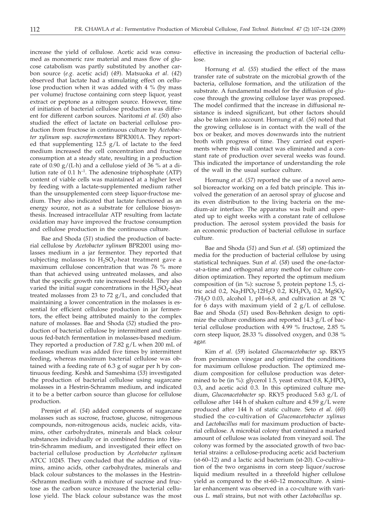increase the yield of cellulose. Acetic acid was consumed as monomeric raw material and mass flow of glucose catabolism was partly substituted by another carbon source (*e.g.* acetic acid) (*49*). Matsuoka *et al*. (*42*) observed that lactate had a stimulating effect on cellulose production when it was added with 4 % (by mass per volume) fructose containing corn steep liquor, yeast extract or peptone as a nitrogen source. However, time of initiation of bacterial cellulose production was different for different carbon sources. Naritomi *et al*. (*50*) also studied the effect of lactate on bacterial cellulose production from fructose in continuous culture by *Acetobacter xylinum* ssp. *sucrofermentans* BPR3001A. They reported that supplementing 12.5 g/L of lactate to the feed medium increased the cell concentration and fructose consumption at a steady state, resulting in a production rate of  $0.90 \text{ g/(L·h)}$  and a cellulose yield of 36 % at a dilution rate of 0.1  $h^{-1}$ . The adenosine triphosphate (ATP) content of viable cells was maintained at a higher level by feeding with a lactate-supplemented medium rather than the unsupplemented corn steep liquor-fructose medium. They also indicated that lactate functioned as an energy source, not as a substrate for cellulose biosynthesis. Increased intracellular ATP resulting from lactate oxidation may have improved the fructose consumption and cellulose production in the continuous culture.

Bae and Shoda (*51*) studied the production of bacterial cellulose by *Acetobacter xylinum* BPR2001 using molasses medium in a jar fermentor. They reported that subjecting molasses to  $H_2SO_4$ -heat treatment gave a maximum cellulose concentration that was 76 % more than that achieved using untreated molasses, and also that the specific growth rate increased twofold. They also varied the initial sugar concentrations in the  $H_2SO_4$ -heat treated molasses from 23 to 72  $g/L$ , and concluded that maintaining a lower concentration in the molasses is essential for efficient cellulose production in jar fermentors, the effect being attributed mainly to the complex nature of molasses. Bae and Shoda (*52*) studied the production of bacterial cellulose by intermittent and continuous fed-batch fermentation in molasses-based medium. They reported a production of 7.82 g/L when 200 mL of molasses medium was added five times by intermittent feeding, whereas maximum bacterial cellulose was obtained with a feeding rate of 6.3 g of sugar per h by continuous feeding. Keshk and Sameshima (*53*) investigated the production of bacterial cellulose using sugarcane molasses in a Hestrin-Schramm medium, and indicated it to be a better carbon source than glucose for cellulose production.

Premjet *et al*. (*54*) added components of sugarcane molasses such as sucrose, fructose, glucose, nitrogenous compounds, non-nitrogenous acids, nucleic acids, vitamins, other carbohydrates, minerals and black colour substances individually or in combined forms into Hestrin-Schramm medium, and investigated their effect on bacterial cellulose production by *Acetobacter xylinum* ATCC 10245. They concluded that the addition of vitamins, amino acids, other carbohydrates, minerals and black colour substances to the molasses in the Hestrin- -Schramm medium with a mixture of sucrose and fructose as the carbon source increased the bacterial cellulose yield. The black colour substance was the most effective in increasing the production of bacterial cellulose.

Hornung *et al*. (*55*) studied the effect of the mass transfer rate of substrate on the microbial growth of the bacteria, cellulose formation, and the utilization of the substrate. A fundamental model for the diffusion of glucose through the growing cellulose layer was proposed. The model confirmed that the increase in diffusional resistance is indeed significant, but other factors should also be taken into account. Hornung *et al*. (*56*) noted that the growing cellulose is in contact with the wall of the box or beaker, and moves downwards into the nutrient broth with progress of time. They carried out experiments where this wall contact was eliminated and a constant rate of production over several weeks was found. This indicated the importance of understanding the role of the wall in the usual surface culture.

Hornung *et al*. (*57*) reported the use of a novel aerosol bioreactor working on a fed batch principle. This involved the generation of an aerosol spray of glucose and its even distribution to the living bacteria on the medium-air interface. The apparatus was built and operated up to eight weeks with a constant rate of cellulose production. The aerosol system provided the basis for an economic production of bacterial cellulose in surface culture.

Bae and Shoda (*51*) and Sun *et al*. (*58*) optimized the media for the production of bacterial cellulose by using statistical techniques. Sun *et al*. (*58*) used the one-factor- -at-a-time and orthogonal array method for culture condition optimization. They reported the optimum medium composition of (in %): sucrose 5, protein peptone 1.5, citric acid 0.2,  $Na<sub>2</sub>HPO<sub>4</sub>·12H<sub>2</sub>O$  0.2,  $KH<sub>2</sub>PO<sub>4</sub>$  0.2,  $MgSO<sub>4</sub>·$  $\cdot$ 7H<sub>2</sub>O 0.03, alcohol 1, pH=6.8, and cultivation at 28 °C for 6 days with maximum yield of 2  $g/L$  of cellulose. Bae and Shoda (*51*) used Box-Behnken design to optimize the culture conditions and reported  $14.3$  g/L of bacterial cellulose production with 4.99 % fructose, 2.85 % corn steep liquor, 28.33 % dissolved oxygen, and 0.38 % agar.

Kim *et al*. (*59*) isolated *Gluconacetobacter* sp. RKY5 from persimmon vinegar and optimized the conditions for maximum cellulose production. The optimized medium composition for cellulose production was determined to be (in %): glycerol 1.5, yeast extract 0.8,  $K_2HPO_4$ 0.3, and acetic acid 0.3. In this optimized culture medium, *Gluconacetobacter* sp. RKY5 produced 5.63 g/L of cellulose after 144 h of shaken culture and  $4.59$   $g/L$  were produced after 144 h of static culture. Seto *et al*. (*60*) studied the co-cultivation of *Gluconacetobacter xylinus* and *Lactobacillus mali* for maximum production of bacterial cellulose. A microbial colony that contained a marked amount of cellulose was isolated from vineyard soil. The colony was formed by the associated growth of two bacterial strains: a cellulose-producing acetic acid bacterium (st-60–12) and a lactic acid bacterium (st-20). Co-cultivation of the two organisms in corn steep liquor/sucrose liquid medium resulted in a threefold higher cellulose yield as compared to the st-60–12 monoculture. A similar enhancement was observed in a co-culture with various *L. mali* strains, but not with other *Lactobacillus* sp.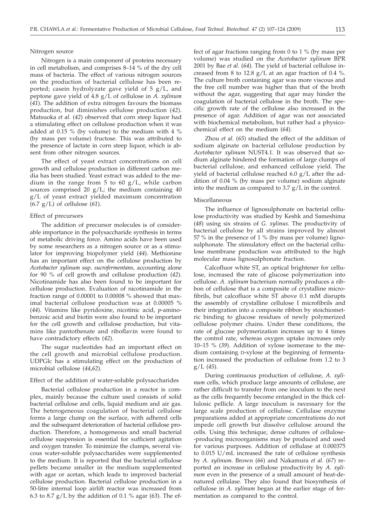#### Nitrogen source

Nitrogen is a main component of proteins necessary in cell metabolism, and comprises 8–14 % of the dry cell mass of bacteria. The effect of various nitrogen sources on the production of bacterial cellulose has been reported; casein hydrolyzate gave yield of 5 g/L, and peptone gave yield of 4.8 g/L of cellulose in *A. xylinum* (*41*). The addition of extra nitrogen favours the biomass production, but diminishes cellulose production (*42*). Matsuoka *et al*. (*42*) observed that corn steep liquor had a stimulating effect on cellulose production when it was added at 0.15 % (by volume) to the medium with 4 % (by mass per volume) fructose. This was attributed to the presence of lactate in corn steep liquor, which is absent from other nitrogen sources.

The effect of yeast extract concentrations on cell growth and cellulose production in different carbon media has been studied. Yeast extract was added to the medium in the range from  $5$  to  $60$   $g/L$ , while carbon sources comprised 20  $g/L$ ; the medium containing 40 g/L of yeast extract yielded maximum concentration (6.7 g/L) of cellulose (*61*).

## Effect of precursors

The addition of precursor molecules is of considerable importance in the polysaccharide synthesis in terms of metabolic driving force. Amino acids have been used by some researchers as a nitrogen source or as a stimulator for improving biopolymer yield (*44*). Methionine has an important effect on the cellulose production by *Acetobacter xylinum* ssp. *sucrofermentans*, accounting alone for 90 % of cell growth and cellulose production (*42*). Nicotinamide has also been found to be important for cellulose production. Evaluation of nicotinamide in the fraction range of 0.00001 to 0.00008 % showed that maximal bacterial cellulose production was at 0.00005 % (*44*). Vitamins like pyridoxine, nicotinic acid, *p*-aminobenzoic acid and biotin were also found to be important for the cell growth and cellulose production, but vitamins like pantothenate and riboflavin were found to have contradictory effects (*42*).

The sugar nucleotides had an important effect on the cell growth and microbial cellulose production. UDPGlc has a stimulating effect on the production of microbial cellulose (*44*,*62*).

#### Effect of the addition of water-soluble polysaccharides

Bacterial cellulose production in a reactor is complex, mainly because the culture used consists of solid bacterial cellulose and cells, liquid medium and air gas. The heterogeneous coagulation of bacterial cellulose forms a large clump on the surface, with adhered cells and the subsequent deterioration of bacterial cellulose production. Therefore, a homogeneous and small bacterial cellulose suspension is essential for sufficient agitation and oxygen transfer. To minimize the clumps, several viscous water-soluble polysaccharides were supplemented to the medium. It is reported that the bacterial cellulose pellets became smaller in the medium supplemented with agar or acetan, which leads to improved bacterial cellulose production. Bacterial cellulose production in a 50-litre internal loop airlift reactor was increased from 6.3 to 8.7 g/L by the addition of 0.1 % agar (*63*). The ef-

fect of agar fractions ranging from 0 to 1 % (by mass per volume) was studied on the *Acetobacter xylinum* BPR 2001 by Bae *et al*. (*64*). The yield of bacterial cellulose increased from 8 to 12.8  $g/L$  at an agar fraction of 0.4 %. The culture broth containing agar was more viscous and the free cell number was higher than that of the broth without the agar, suggesting that agar may hinder the coagulation of bacterial cellulose in the broth. The specific growth rate of the cellulose also increased in the presence of agar. Addition of agar was not associated with biochemical metabolism, but rather had a physicochemical effect on the medium (*64*).

Zhou *et al*. (*65*) studied the effect of the addition of sodium alginate on bacterial cellulose production by *Acetobacter xylinum* NUST4.1. It was observed that sodium alginate hindered the formation of large clumps of bacterial cellulose, and enhanced cellulose yield. The yield of bacterial cellulose reached 6.0 g/L after the addition of 0.04 % (by mass per volume) sodium alginate into the medium as compared to 3.7 g/L in the control.

#### Miscellaneous

The influence of lignosulphonate on bacterial cellulose productivity was studied by Keshk and Sameshima (*48*) using six strains of *G. xylinus*. The productivity of bacterial cellulose by all strains improved by almost 57 % in the presence of 1 % (by mass per volume) lignosulphonate. The stimulatory effect on the bacterial cellulose membrane production was attributed to the high molecular mass lignosulphonate fraction.

Calcofluor white ST, an optical brightener for cellulose, increased the rate of glucose polymerization into cellulose. *A. xylinum* bacterium normally produces a ribbon of cellulose that is a composite of crystalline microfibrils, but calcofluor white ST above 0.1 mM disrupts the assembly of crystalline cellulose I microfibrils and their integration into a composite ribbon by stoichiometric binding to glucose residues of newly polymerized cellulose polymer chains. Under these conditions, the rate of glucose polymerization increases up to 4 times the control rate, whereas oxygen uptake increases only 10–15 % (*39*). Addition of xylose isomerase to the medium containing D-xylose at the beginning of fermentation increased the production of cellulose from 1.2 to 3 g/L (*45*).

During continuous production of cellulose, *A. xylinum* cells, which produce large amounts of cellulose, are rather difficult to transfer from one inoculum to the next as the cells frequently become entangled in the thick cellulosic pellicle. A large inoculum is necessary for the large scale production of cellulose. Cellulase enzyme preparations added at appropriate concentrations do not impede cell growth but dissolve cellulose around the cells. Using this technique, dense cultures of cellulose- -producing microorganisms may be produced and used for various purposes. Addition of cellulase at 0.000375 to 0.015 U/mL increased the rate of cellulose synthesis by *A. xylinum*. Brown (*66*) and Nakamura *et al*. (*67*) reported an increase in cellulose productivity by *A. xylinum* even in the presence of a small amount of heat-denatured cellulase. They also found that biosynthesis of cellulose in *A. xylinum* began at the earlier stage of fermentation as compared to the control.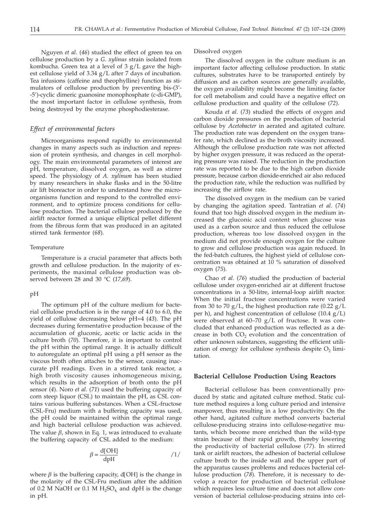Nguyen *et al*. (*46*) studied the effect of green tea on cellulose production by a *G. xylinus* strain isolated from kombucha. Green tea at a level of 3 g/L gave the highest cellulose yield of 3.34 g/L after 7 days of incubation. Tea infusions (caffeine and theophylline) function as stimulators of cellulose production by preventing bis-(3'- -5')-cyclic dimeric guanosine monophosphate (c-di-GMP), the most important factor in cellulose synthesis, from being destroyed by the enzyme phosphodiesterase.

#### *Effect of environmental factors*

Microorganisms respond rapidly to environmental changes in many aspects such as induction and repression of protein synthesis, and changes in cell morphology. The main environmental parameters of interest are pH, temperature, dissolved oxygen, as well as stirrer speed. The physiology of *A. xylinum* has been studied by many researchers in shake flasks and in the 50-litre air lift bioreactor in order to understand how the microorganisms function and respond to the controlled environment, and to optimize process conditions for cellulose production. The bacterial cellulose produced by the airlift reactor formed a unique elliptical pellet different from the fibrous form that was produced in an agitated stirred tank fermentor (*68*).

#### Temperature

Temperature is a crucial parameter that affects both growth and cellulose production. In the majority of experiments, the maximal cellulose production was observed between 28 and 30 °C (*17,69*).

# pH

The optimum pH of the culture medium for bacterial cellulose production is in the range of 4.0 to 6.0, the yield of cellulose decreasing below pH=4 (*43*). The pH decreases during fermentative production because of the accumulation of gluconic, acetic or lactic acids in the culture broth (*70*). Therefore, it is important to control the pH within the optimal range. It is actually difficult to autoregulate an optimal pH using a pH sensor as the viscous broth often attaches to the sensor, causing inaccurate pH readings. Even in a stirred tank reactor, a high broth viscosity causes inhomogeneous mixing, which results in the adsorption of broth onto the pH sensor (*4*). Noro *et al*. (*71*) used the buffering capacity of corn steep liquor (CSL) to maintain the pH, as CSL contains various buffering substances. When a CSL-fructose (CSL-Fru) medium with a buffering capacity was used, the pH could be maintained within the optimal range and high bacterial cellulose production was achieved. The value  $\beta$ , shown in Eq. 1, was introduced to evaluate the buffering capacity of CSL added to the medium:

$$
\beta = \frac{\text{d[OH]}}{\text{d}p\text{H}} \tag{1/}
$$

where  $\beta$  is the buffering capacity,  $d[OH]$  is the change in the molarity of the CSL-Fru medium after the addition of 0.2 M NaOH or 0.1 M  $H_2SO_4$  and dpH is the change in pH.

## Dissolved oxygen

The dissolved oxygen in the culture medium is an important factor affecting cellulose production. In static cultures, substrates have to be transported entirely by diffusion and as carbon sources are generally available, the oxygen availability might become the limiting factor for cell metabolism and could have a negative effect on cellulose production and quality of the cellulose (*72*).

Kouda *et al*. (*73*) studied the effects of oxygen and carbon dioxide pressures on the production of bacterial cellulose by *Acetobacter* in aerated and agitated culture. The production rate was dependent on the oxygen transfer rate, which declined as the broth viscosity increased. Although the cellulose production rate was not affected by higher oxygen pressure, it was reduced as the operating pressure was raised. The reduction in the production rate was reported to be due to the high carbon dioxide pressure, because carbon dioxide-enriched air also reduced the production rate, while the reduction was nullified by increasing the airflow rate.

The dissolved oxygen in the medium can be varied by changing the agitation speed. Tantratian *et al*. (*74*) found that too high dissolved oxygen in the medium increased the gluconic acid content when glucose was used as a carbon source and thus reduced the cellulose production, whereas too low dissolved oxygen in the medium did not provide enough oxygen for the culture to grow and cellulose production was again reduced. In the fed-batch cultures, the highest yield of cellulose concentration was obtained at 10 % saturation of dissolved oxygen (*75*).

Chao *et al*. (*76*) studied the production of bacterial cellulose under oxygen-enriched air at different fructose concentrations in a 50-litre, internal-loop airlift reactor. When the initial fructose concentrations were varied from 30 to 70  $g/L$ , the highest production rate (0.22  $g/L$ per h), and highest concentration of cellulose  $(10.4 \text{ g/L})$ were observed at  $60-70$  g/L of fructose. It was concluded that enhanced production was reflected as a decrease in both  $CO<sub>2</sub>$  evolution and the concentration of other unknown substances, suggesting the efficient utilization of energy for cellulose synthesis despite  $O<sub>2</sub>$  limitation.

## **Bacterial Cellulose Production Using Reactors**

Bacterial cellulose has been conventionally produced by static and agitated culture method. Static culture method requires a long culture period and intensive manpower, thus resulting in a low productivity. On the other hand, agitated culture method converts bacterial cellulose-producing strains into cellulose-negative mutants, which become more enriched than the wild-type strain because of their rapid growth, thereby lowering the productivity of bacterial cellulose (*77*). In stirred tank or airlift reactors, the adhesion of bacterial cellulose culture broth to the inside wall and the upper part of the apparatus causes problems and reduces bacterial cellulose production (*78*). Therefore, it is necessary to develop a reactor for production of bacterial cellulose which requires less culture time and does not allow conversion of bacterial cellulose-producing strains into cel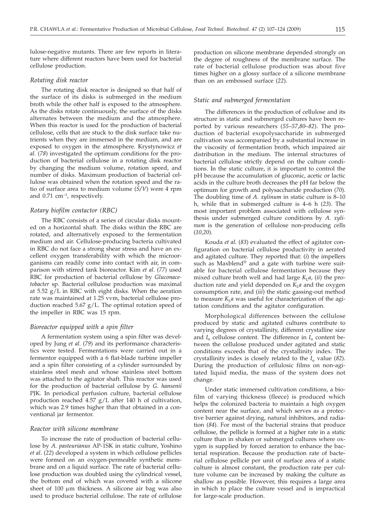lulose-negative mutants. There are few reports in literature where different reactors have been used for bacterial cellulose production.

#### *Rotating disk reactor*

The rotating disk reactor is designed so that half of the surface of its disks is submerged in the medium broth while the other half is exposed to the atmosphere. As the disks rotate continuously, the surface of the disks alternates between the medium and the atmosphere. When this reactor is used for the production of bacterial cellulose, cells that are stuck to the disk surface take nutrients when they are immersed in the medium, and are exposed to oxygen in the atmosphere. Krystynowicz *et al*. (*78*) investigated the optimum conditions for the production of bacterial cellulose in a rotating disk reactor by changing the medium volume, rotation speed, and number of disks. Maximum production of bacterial cellulose was obtained when the rotation speed and the ratio of surface area to medium volume (*S/V*) were 4 rpm and 0.71 cm<sup>-1</sup>, respectively.

#### *Rotary biofilm contactor (RBC)*

The RBC consists of a series of circular disks mounted on a horizontal shaft. The disks within the RBC are rotated, and alternatively exposed to the fermentation medium and air. Cellulose-producing bacteria cultivated in RBC do not face a strong shear stress and have an excellent oxygen transferability with which the microorganisms can readily come into contact with air, in comparison with stirred tank bioreactor. Kim *et al*. (*77*) used RBC for production of bacterial cellulose by *Gluconacetobacter* sp. Bacterial cellulose production was maximal at 5.52 g/L in RBC with eight disks. When the aeration rate was maintained at 1.25 vvm, bacterial cellulose production reached 5.67 g/L. The optimal rotation speed of the impeller in RBC was 15 rpm.

# *Bioreactor equipped with a spin filter*

A fermentation system using a spin filter was developed by Jung *et al*. (*79*) and its performance characteristics were tested. Fermentations were carried out in a fermentor equipped with a 6 flat-blade turbine impeller and a spin filter consisting of a cylinder surrounded by stainless steel mesh and whose stainless steel bottom was attached to the agitator shaft. This reactor was used for the production of bacterial cellulose by *G. hansenii* PJK. In periodical perfusion culture, bacterial cellulose production reached 4.57  $g/L$  after 140 h of cultivation, which was 2.9 times higher than that obtained in a conventional jar fermentor.

# *Reactor with silicone membrane*

To increase the rate of production of bacterial cellulose by *A. pasteurianus* AP-1SK in static culture, Yoshino *et al*. (*22*) developed a system in which cellulose pellicles were formed on an oxygen-permeable synthetic membrane and on a liquid surface. The rate of bacterial cellulose production was doubled using the cylindrical vessel, the bottom end of which was covered with a silicone sheet of 100 µm thickness. A silicone air bag was also used to produce bacterial cellulose. The rate of cellulose

production on silicone membrane depended strongly on the degree of roughness of the membrane surface. The rate of bacterial cellulose production was about five times higher on a glossy surface of a silicone membrane than on an embossed surface (*22*).

# *Static and submerged fermentation*

The differences in the production of cellulose and its structure in static and submerged cultures have been reported by various researchers (*55*–*57*,*80*–*82*). The production of bacterial exopolysaccharide in submerged cultivation was accompanied by a substantial increase in the viscosity of fermentation broth, which impaired air distribution in the medium. The internal structures of bacterial cellulose strictly depend on the culture conditions. In the static culture, it is important to control the pH because the accumulation of gluconic, acetic or lactic acids in the culture broth decreases the pH far below the optimum for growth and polysaccharide production (*70*). The doubling time of *A. xylinum* in static culture is 8–10 h, while that in submerged culture is 4–6 h (*23*). The most important problem associated with cellulose synthesis under submerged culture conditions by *A. xylinum* is the generation of cellulose non-producing cells (*10*,*20*).

Kouda *et al*. (*83*) evaluated the effect of agitator configuration on bacterial cellulose productivity in aerated and agitated culture. They reported that: (*i*) the impellers such as Maxblend<sup>®</sup> and a gate with turbine were suitable for bacterial cellulose fermentation because they mixed culture broth well and had large  $K<sub>L</sub>a$ , *(ii)* the production rate and yield depended on  $K<sub>L</sub>a$  and the oxygen consumption rate, and (*iii*) the static gassing-out method to measure  $K<sub>L</sub>a$  was useful for characterization of the agitation conditions and the agitator configuration.

Morphological differences between the cellulose produced by static and agitated cultures contribute to varying degrees of crystallinity, different crystalline size and  $I_{\alpha}$  cellulose content. The difference in  $I_{\alpha}$  content between the cellulose produced under agitated and static conditions exceeds that of the crystallinity index. The crystallinity index is closely related to the *<sup>I</sup>*a value (*82*). During the production of cellulosic films on non-agitated liquid media, the mass of the system does not change.

Under static immersed cultivation conditions, a biofilm of varying thickness (fleece) is produced which helps the colonized bacteria to maintain a high oxygen content near the surface, and which serves as a protective barrier against drying, natural inhibitors, and radiation (*84*). For most of the bacterial strains that produce cellulose, the pellicle is formed at a higher rate in a static culture than in shaken or submerged cultures where oxygen is supplied by forced aeration to enhance the bacterial respiration. Because the production rate of bacterial cellulose pellicle per unit of surface area of a static culture is almost constant, the production rate per culture volume can be increased by making the culture as shallow as possible. However, this requires a large area in which to place the culture vessel and is impractical for large-scale production.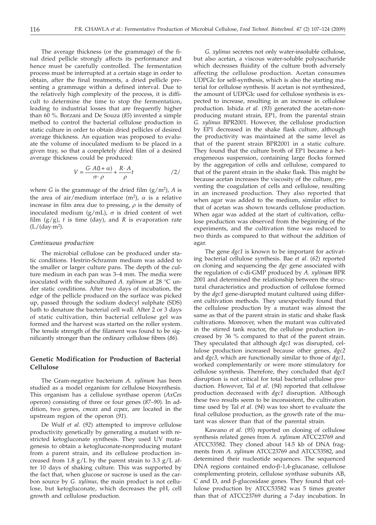The average thickness (or the grammage) of the final dried pellicle strongly affects its performance and hence must be carefully controlled. The fermentation process must be interrupted at a certain stage in order to obtain, after the final treatments, a dried pellicle presenting a grammage within a defined interval. Due to the relatively high complexity of the process, it is difficult to determine the time to stop the fermentation, leading to industrial losses that are frequently higher than 60 %. Borzani and De Souza (*85*) invented a simple method to control the bacterial cellulose production in static culture in order to obtain dried pellicles of desired average thickness. An equation was proposed to evaluate the volume of inoculated medium to be placed in a given tray, so that a completely dried film of a desired average thickness could be produced:

$$
V = \frac{G \cdot A(1+\alpha)}{\sigma \cdot \rho} + \frac{R \cdot A}{\rho}t \tag{2}
$$

where *G* is the grammage of the dried film  $(g/m^2)$ , *A* is the area of air/medium interface  $(m^2)$ ,  $\alpha$  is a relative increase in film area due to pressing,  $\rho$  is the density of inoculated medium  $(g/mL)$ ,  $\sigma$  is dried content of wet film  $(g/g)$ , *t* is time (day), and *R* is evaporation rate  $(L/(day·m²))$ .

## *Continuous production*

The microbial cellulose can be produced under static conditions. Hestrin-Schramm medium was added to the smaller or larger culture pans. The depth of the culture medium in each pan was 3–4 mm. The media were inoculated with the subcultured *A. xylinum* at 28 °C under static conditions. After two days of incubation, the edge of the pellicle produced on the surface was picked up, passed through the sodium dodecyl sulphate (SDS) bath to denature the bacterial cell wall. After 2 or 3 days of static cultivation, thin bacterial cellulose gel was formed and the harvest was started on the roller system. The tensile strength of the filament was found to be significantly stronger than the ordinary cellulose fibres (*86*).

# **Genetic Modification for Production of Bacterial Cellulose**

The Gram-negative bacterium *A. xylinum* has been studied as a model organism for cellulose biosynthesis. This organism has a cellulose synthase operon (*AxCes* operon) consisting of three or four genes (*87*–*90*). In addition, two genes, *cmcax* and *ccpax*, are located in the upstream region of the operon (*91*).

De Wulf *et al*. (*92*) attempted to improve cellulose productivity genetically by generating a mutant with restricted ketogluconate synthesis. They used UV mutagenesis to obtain a ketogluconate-nonproducing mutant from a parent strain, and its cellulose production increased from 1.8 g/L by the parent strain to 3.3 g/L after 10 days of shaking culture. This was supported by the fact that, when glucose or sucrose is used as the carbon source by *G. xylinus*, the main product is not cellulose, but ketogluconate, which decreases the pH, cell growth and cellulose production.

*G. xylinus* secretes not only water-insoluble cellulose, but also acetan, a viscous water-soluble polysaccharide which decreases fluidity of the culture broth adversely affecting the cellulose production. Acetan consumes UDPGlc for self-synthesis, which is also the starting material for cellulose synthesis. If acetan is not synthesized, the amount of UDPGlc used for cellulose synthesis is expected to increase, resulting in an increase in cellulose production. Ishida *et al*. (*93*) generated the acetan-nonproducing mutant strain, EP1, from the parental strain *G. xylinus* BPR2001. However, the cellulose production by EP1 decreased in the shake flask culture, although the productivity was maintained at the same level as that of the parent strain BPR2001 in a static culture. They found that the culture broth of EP1 became a heterogeneous suspension, containing large flocks formed by the aggregation of cells and cellulose, compared to that of the parent strain in the shake flask. This might be because acetan increases the viscosity of the culture, preventing the coagulation of cells and cellulose, resulting in an increased production. They also reported that when agar was added to the medium, similar effect to that of acetan was shown towards cellulose production. When agar was added at the start of cultivation, cellulose production was observed from the beginning of the experiments, and the cultivation time was reduced to two thirds as compared to that without the addition of agar.

The gene *dgc1* is known to be important for activating bacterial cellulose synthesis. Bae *et al*. (*62*) reported on cloning and sequencing the *dgc* gene associated with the regulation of c-di-GMP produced by *A. xylinum* BPR 2001 and determined the relationship between the structural characteristics and production of cellulose formed by the *dgc1* gene-disrupted mutant cultured using different cultivation methods. They unexpectedly found that the cellulose production by a mutant was almost the same as that of the parent strain in static and shake flask cultivations. Moreover, when the mutant was cultivated in the stirred tank reactor, the cellulose production increased by 36 % compared to that of the parent strain. They speculated that although *dgc1* was disrupted, cellulose production increased because other genes, *dgc2* and *dgc3*, which are functionally similar to those of *dgc1*, worked complementarily or were more stimulatory for cellulose synthesis. Therefore, they concluded that *dgc1* disruption is not critical for total bacterial cellulose production. However, Tal *et al*. (*94*) reported that cellulose production decreased with *dgc1* disruption. Although these two results seem to be inconsistent, the cultivation time used by Tal *et al*. (*94*) was too short to evaluate the final cellulose production, as the growth rate of the mutant was slower than that of the parental strain.

Kawano *et al*. (*95*) reported on cloning of cellulose synthesis related genes from *A. xylinum* ATCC23769 and ATCC53582. They cloned about 14.5 kb of DNA fragments from *A. xylinum* ATCC23769 and ATCC53582, and determined their nucleotide sequences. The sequenced DNA regions contained endo-β-1,4-glucanase, cellulose complementing protein, cellulose synthase subunits AB, C and D, and  $\beta$ -glucosidase genes. They found that cellulose production by ATCC53582 was 5 times greater than that of ATCC23769 during a 7-day incubation. In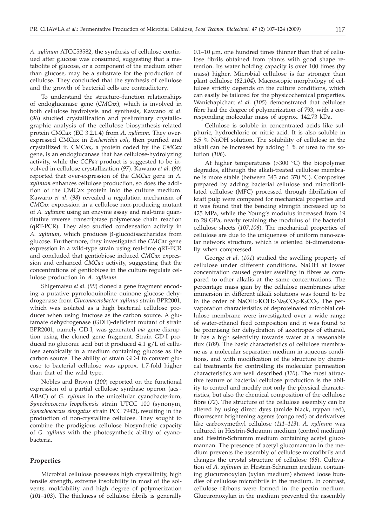*A. xylinum* ATCC53582, the synthesis of cellulose continued after glucose was consumed, suggesting that a metabolite of glucose, or a component of the medium other than glucose, may be a substrate for the production of cellulose. They concluded that the synthesis of cellulose and the growth of bacterial cells are contradictory.

To understand the structure–function relationships of endoglucanase gene (*CMCax*), which is involved in both cellulose hydrolysis and synthesis, Kawano *et al*. (*96*) studied crystallization and preliminary crystallographic analysis of the cellulose biosynthesis-related protein CMCax (EC 3.2.1.4) from *A. xylinum.* They overexpressed CMCax in *Escherichia coli*, then purified and crystallized it. CMCax*,* a protein coded by the *CMCax* gene, is an endoglucanase that has cellulose-hydrolyzing activity, while the *CCPax* product is suggested to be involved in cellulose crystallization (*97*). Kawano *et al*. (*90*) reported that over-expression of the *CMCax* gene in *A. xylinum* enhances cellulose production, so does the addition of the CMCax protein into the culture medium. Kawano *et al*. (*98*) revealed a regulation mechanism of *CMCax* expression in a cellulose non-producing mutant of *A. xylinum* using an enzyme assay and real-time quantitative reverse transcriptase polymerase chain reaction (qRT-PCR). They also studied condensation activity in A. *xylinum*, which produces β-glucodisaccharides from glucose. Furthermore, they investigated the *CMCax* gene expression in a wild-type strain using real-time qRT-PCR and concluded that gentiobiose induced *CMCax* expression and enhanced *CMCax* activity, suggesting that the concentrations of gentiobiose in the culture regulate cellulose production in *A. xylinum*.

Shigematsu *et al*. (*99*) cloned a gene fragment encoding a putative pyrroloquinoline quinone glucose dehydrogenase from *Gluconacetobacter xylinus* strain BPR2001, which was isolated as a high bacterial cellulose producer when using fructose as the carbon source. A glutamate dehydrogenase (GDH)-deficient mutant of strain BPR2001, namely GD-I, was generated *via* gene disruption using the cloned gene fragment. Strain GD-I produced no gluconic acid but it produced 4.1 g/L of cellulose aerobically in a medium containing glucose as the carbon source. The ability of strain GD-I to convert glucose to bacterial cellulose was approx. 1.7-fold higher than that of the wild type.

Nobles and Brown (*100*) reported on the functional expression of a partial cellulose synthase operon (acs - AB<sub>AC</sub>) of *G. xylinus* in the unicellular cyanobacterium, *Synechococcus leopoliensis* strain UTCC 100 (synonym, *Synechococcus elongatus* strain PCC 7942), resulting in the production of non-crystalline cellulose. They sought to combine the prodigious cellulose biosynthetic capacity of *G. xylinus* with the photosynthetic ability of cyanobacteria.

# **Properties**

Microbial cellulose possesses high crystallinity, high tensile strength, extreme insolubility in most of the solvents, moldability and high degree of polymerization (*101–103*). The thickness of cellulose fibrils is generally  $0.1-10 \mu m$ , one hundred times thinner than that of cellulose fibrils obtained from plants with good shape retention. Its water holding capacity is over 100 times (by mass) higher. Microbial cellulose is far stronger than plant cellulose (*82*,*104*). Macroscopic morphology of cellulose strictly depends on the culture conditions, which can easily be tailored for the physicochemical properties. Wanichapichart *et al*. (*105*) demonstrated that cellulose fibre had the degree of polymerization of 793, with a corresponding molecular mass of approx. 142.73 kDa.

Cellulose is soluble in concentrated acids like sulphuric, hydrochloric or nitric acid. It is also soluble in 8.5 % NaOH solution. The solubility of cellulose in the alkali can be increased by adding 1 % of urea to the solution (*106*).

At higher temperatures (>300 °C) the biopolymer degrades, although the alkali-treated cellulose membrane is more stable (between 343 and 370 °C). Composites prepared by adding bacterial cellulose and microfibrillated cellulose (MFC) processed through fibrillation of kraft pulp were compared for mechanical properties and it was found that the bending strength increased up to 425 MPa, while the Young's modulus increased from 19 to 28 GPa, nearly retaining the modulus of the bacterial cellulose sheets (*107*,*108*). The mechanical properties of cellulose are due to the uniqueness of uniform nano-scalar network structure, which is oriented bi-dimensionally when compressed.

George *et al*. (*101*) studied the swelling property of cellulose under different conditions. NaOH at lower concentration caused greater swelling in fibres as compared to other alkalis at the same concentrations. The percentage mass gain by the cellulose membranes after immersion in different alkali solutions was found to be in the order of NaOH>KOH>Na<sub>2</sub>CO<sub>3</sub>>K<sub>2</sub>CO<sub>3</sub>. The pervaporation characteristics of deproteinated microbial cellulose membrane were investigated over a wide range of water-ethanol feed composition and it was found to be promising for dehydration of azeotropes of ethanol. It has a high selectivity towards water at a reasonable flux (*109*). The basic characteristics of cellulose membrane as a molecular separation medium in aqueous conditions, and with modification of the structure by chemical treatments for controlling its molecular permeation characteristics are well described (*110*). The most attractive feature of bacterial cellulose production is the ability to control and modify not only the physical characteristics, but also the chemical composition of the cellulose fibre (*72*). The structure of the cellulose assembly can be altered by using direct dyes (amide black, trypan red), fluorescent brightening agents (congo red) or derivatives like carboxymethyl cellulose (*111*–*113*). *A. xylinum* was cultured in Hestrin-Schramm medium (control medium) and Hestrin-Schramm medium containing acetyl glucomannan. The presence of acetyl glucomannan in the medium prevents the assembly of cellulose microfibrils and changes the crystal structure of cellulose (*86*). Cultivation of *A. xylinum* in Hestrin-Schramm medium containing glucuronoxylan (xylan medium) showed loose bundles of cellulose microfibrils in the medium. In contrast, cellulose ribbons were formed in the pectin medium. Glucuronoxylan in the medium prevented the assembly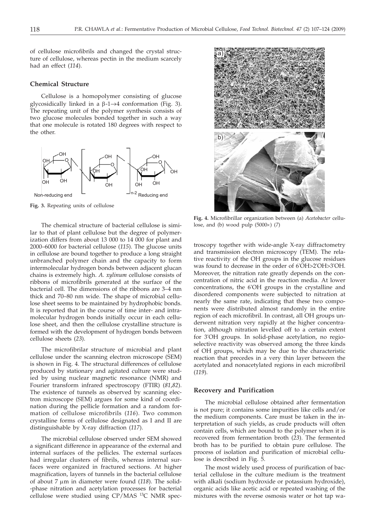of cellulose microfibrils and changed the crystal structure of cellulose, whereas pectin in the medium scarcely had an effect (*114*).

#### **Chemical Structure**

Cellulose is a homopolymer consisting of glucose glycosidically linked in a  $\beta$ -1 $\rightarrow$ 4 conformation (Fig. 3). The repeating unit of the polymer synthesis consists of two glucose molecules bonded together in such a way that one molecule is rotated 180 degrees with respect to the other.



**Fig. 3.** Repeating units of cellulose

The chemical structure of bacterial cellulose is similar to that of plant cellulose but the degree of polymerization differs from about 13 000 to 14 000 for plant and 2000–6000 for bacterial cellulose (*115*). The glucose units in cellulose are bound together to produce a long straight unbranched polymer chain and the capacity to form intermolecular hydrogen bonds between adjacent glucan chains is extremely high. *A. xylinum* cellulose consists of ribbons of microfibrils generated at the surface of the bacterial cell. The dimensions of the ribbons are 3–4 nm thick and 70–80 nm wide. The shape of microbial cellulose sheet seems to be maintained by hydrophobic bonds. It is reported that in the course of time inter- and intramolecular hydrogen bonds initially occur in each cellulose sheet, and then the cellulose crystalline structure is formed with the development of hydrogen bonds between cellulose sheets (*23*).

The microfibrilar structure of microbial and plant cellulose under the scanning electron microscope (SEM) is shown in Fig. 4. The structural differences of cellulose produced by stationary and agitated culture were studied by using nuclear magnetic resonance (NMR) and Fourier transform infrared spectroscopy (FTIR) (*81*,*82*). The existence of tunnels as observed by scanning electron microscope (SEM) argues for some kind of coordination during the pellicle formation and a random formation of cellulose microfibrils (*116*). Two common crystalline forms of cellulose designated as I and II are distinguishable by X-ray diffraction (*117*).

The microbial cellulose observed under SEM showed a significant difference in appearance of the external and internal surfaces of the pellicles. The external surfaces had irregular clusters of fibrils, whereas internal surfaces were organized in fractured sections. At higher magnification, layers of tunnels in the bacterial cellulose of about 7 µm in diameter were found (118). The solid--phase nitration and acetylation processes for bacterial cellulose were studied using CP/MAS 13C NMR spec-



**Fig. 4.** Microfibrillar organization between (a) *Acetobacter* cellulose, and (b) wood pulp  $(5000\times)$  (7)

troscopy together with wide-angle X-ray diffractometry and transmission electron microscopy (TEM). The relative reactivity of the OH groups in the glucose residues was found to decrease in the order of 6'OH>2'OH>3'OH. Moreover, the nitration rate greatly depends on the concentration of nitric acid in the reaction media. At lower concentrations, the 6'OH groups in the crystalline and disordered components were subjected to nitration at nearly the same rate, indicating that these two components were distributed almost randomly in the entire region of each microfibril. In contrast, all OH groups underwent nitration very rapidly at the higher concentration, although nitration levelled off to a certain extent for 3'OH groups. In solid-phase acetylation, no regioselective reactivity was observed among the three kinds of OH groups, which may be due to the characteristic reaction that precedes in a very thin layer between the acetylated and nonacetylated regions in each microfibril (*119*).

# **Recovery and Purification**

The microbial cellulose obtained after fermentation is not pure; it contains some impurities like cells and/or the medium components. Care must be taken in the interpretation of such yields, as crude products will often contain cells, which are bound to the polymer when it is recovered from fermentation broth (*23*). The fermented broth has to be purified to obtain pure cellulose. The process of isolation and purification of microbial cellulose is described in Fig. 5.

The most widely used process of purification of bacterial cellulose in the culture medium is the treatment with alkali (sodium hydroxide or potassium hydroxide), organic acids like acetic acid or repeated washing of the mixtures with the reverse osmosis water or hot tap wa-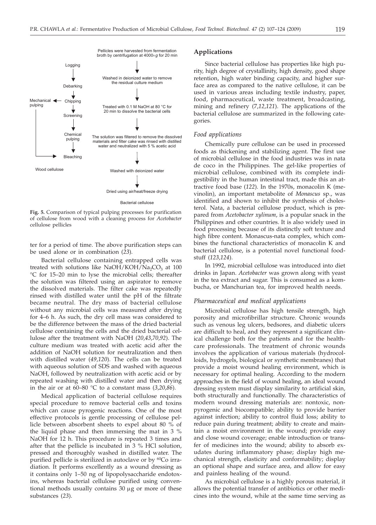

**Fig. 5.** Comparison of typical pulping processes for purification of cellulose from wood with a cleaning process for *Acetobacter* cellulose pellicles

ter for a period of time. The above purification steps can be used alone or in combination (*23*).

Bacterial cellulose containing entrapped cells was treated with solutions like  $NaOH/KOH/Na_2CO_3$  at 100 °C for 15–20 min to lyse the microbial cells; thereafter the solution was filtered using an aspirator to remove the dissolved materials. The filter cake was repeatedly rinsed with distilled water until the pH of the filtrate became neutral. The dry mass of bacterial cellulose without any microbial cells was measured after drying for 4–6 h. As such, the dry cell mass was considered to be the difference between the mass of the dried bacterial cellulose containing the cells and the dried bacterial cellulose after the treatment with NaOH (*20*,*43*,*70*,*92*). The culture medium was treated with acetic acid after the addition of NaOH solution for neutralization and then with distilled water (*49*,*120*). The cells can be treated with aqueous solution of SDS and washed with aqueous NaOH, followed by neutralization with acetic acid or by repeated washing with distilled water and then drying in the air or at 60–80 °C to a constant mass (*3*,*20*,*86*).

Medical application of bacterial cellulose requires special procedure to remove bacterial cells and toxins which can cause pyrogenic reactions. One of the most effective protocols is gentle processing of cellulose pellicle between absorbent sheets to expel about 80 % of the liquid phase and then immersing the mat in 3 % NaOH for 12 h. This procedure is repeated 3 times and after that the pellicle is incubated in 3 % HCl solution, pressed and thoroughly washed in distilled water. The purified pellicle is sterilized in autoclave or by <sup>60</sup>Co irradiation. It performs excellently as a wound dressing as it contains only 1–50 ng of lipopolysaccharide endotoxins, whereas bacterial cellulose purified using conventional methods usually contains  $30 \mu$ g or more of these substances (*23*).

### **Applications**

Since bacterial cellulose has properties like high purity, high degree of crystallinity, high density, good shape retention, high water binding capacity, and higher surface area as compared to the native cellulose, it can be used in various areas including textile industry, paper, food, pharmaceutical, waste treatment, broadcasting, mining and refinery (7,*12*,*121*). The applications of the bacterial cellulose are summarized in the following categories.

#### *Food applications*

Chemically pure cellulose can be used in processed foods as thickening and stabilizing agent. The first use of microbial cellulose in the food industries was in nata de coco in the Philippines. The gel-like properties of microbial cellulose, combined with its complete indigestibility in the human intestinal tract, made this an attractive food base (*122*). In the 1970s, monacolin K (mevinolin), an important metabolite of *Monascus* sp., was identified and shown to inhibit the synthesis of cholesterol. Nata, a bacterial cellulose product, which is prepared from *Acetobacter xylinum*, is a popular snack in the Philippines and other countries. It is also widely used in food processing because of its distinctly soft texture and high fibre content. Monascus-nata complex, which combines the functional characteristics of monacolin K and bacterial cellulose, is a potential novel functional foodstuff (*123*,*124*).

In 1992, microbial cellulose was introduced into diet drinks in Japan. *Acetobacter* was grown along with yeast in the tea extract and sugar. This is consumed as a kombucha, or Manchurian tea, for improved health needs.

## *Pharmaceutical and medical applications*

Microbial cellulose has high tensile strength, high porosity and microfibrillar structure. Chronic wounds such as venous leg ulcers, bedsores, and diabetic ulcers are difficult to heal, and they represent a significant clinical challenge both for the patients and for the healthcare professionals. The treatment of chronic wounds involves the application of various materials (hydrocolloids, hydrogels, biological or synthetic membranes) that provide a moist wound healing environment, which is necessary for optimal healing. According to the modern approaches in the field of wound healing, an ideal wound dressing system must display similarity to artificial skin, both structurally and functionally. The characteristics of modern wound dressing materials are: nontoxic, nonpyrogenic and biocompatible; ability to provide barrier against infection; ability to control fluid loss; ability to reduce pain during treatment; ability to create and maintain a moist environment in the wound; provide easy and close wound coverage; enable introduction or transfer of medicines into the wound; ability to absorb exudates during inflammatory phase; display high mechanical strength, elasticity and conformability; display an optional shape and surface area, and allow for easy and painless healing of the wound.

As microbial cellulose is a highly porous material, it allows the potential transfer of antibiotics or other medicines into the wound, while at the same time serving as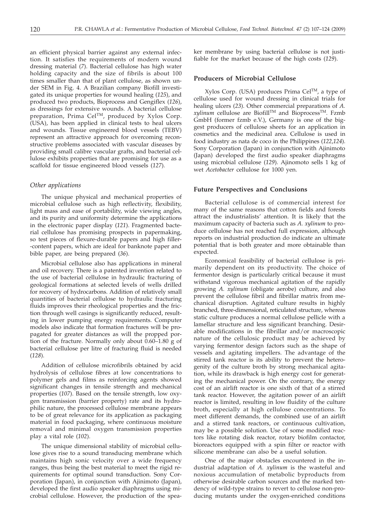an efficient physical barrier against any external infection. It satisfies the requirements of modern wound dressing material (*7*). Bacterial cellulose has high water holding capacity and the size of fibrils is about 100 times smaller than that of plant cellulose, as shown under SEM in Fig. 4. A Brazilian company Biofill investigated its unique properties for wound healing (*125*), and produced two products, Bioprocess and Gengiflex (*126*), as dressings for extensive wounds. A bacterial cellulose preparation, Prima Cel<sup>TM</sup>, produced by Xylos Corp. (USA), has been applied in clinical tests to heal ulcers and wounds. Tissue engineered blood vessels (TEBV) represent an attractive approach for overcoming reconstructive problems associated with vascular diseases by providing small calibre vascular grafts, and bacterial cellulose exhibits properties that are promising for use as a scaffold for tissue engineered blood vessels (*127*).

# *Other applications*

The unique physical and mechanical properties of microbial cellulose such as high reflectivity, flexibility, light mass and ease of portability, wide viewing angles, and its purity and uniformity determine the applications in the electronic paper display (*121*). Fragmented bacterial cellulose has promising prospects in papermaking, so test pieces of flexure-durable papers and high filler- -content papers, which are ideal for banknote paper and bible paper, are being prepared (*36*).

Microbial cellulose also has applications in mineral and oil recovery. There is a patented invention related to the use of bacterial cellulose in hydraulic fracturing of geological formations at selected levels of wells drilled for recovery of hydrocarbons. Addition of relatively small quantities of bacterial cellulose to hydraulic fracturing fluids improves their rheological properties and the friction through well casings is significantly reduced, resulting in lower pumping energy requirements. Computer models also indicate that formation fractures will be propagated for greater distances as will the propped portion of the fracture. Normally only about 0.60–1.80 g of bacterial cellulose per litre of fracturing fluid is needed (*128*).

Addition of cellulose microfibrils obtained by acid hydrolysis of cellulose fibres at low concentrations to polymer gels and films as reinforcing agents showed significant changes in tensile strength and mechanical properties (*107*). Based on the tensile strength, low oxygen transmission (barrier property) rate and its hydrophilic nature, the processed cellulose membrane appears to be of great relevance for its application as packaging material in food packaging, where continuous moisture removal and minimal oxygen transmission properties play a vital role (*102*).

The unique dimensional stability of microbial cellulose gives rise to a sound transducing membrane which maintains high sonic velocity over a wide frequency ranges, thus being the best material to meet the rigid requirements for optimal sound transduction. Sony Corporation (Japan), in conjunction with Ajinimoto (Japan), developed the first audio speaker diaphragms using microbial cellulose. However, the production of the speaker membrane by using bacterial cellulose is not justifiable for the market because of the high costs (*129*).

## **Producers of Microbial Cellulose**

Xylos Corp. (USA) produces Prima CelTM, a type of cellulose used for wound dressing in clinical trials for healing ulcers (*23*). Other commercial preparations of *A. xylinum* cellulose are Biofill™ and Bioprocess<sup>™</sup>. Fzmb GmbH (former fzmb e.V.), Germany is one of the biggest producers of cellulose sheets for an application in cosmetics and the medicinal area. Cellulose is used in food industry as nata de coco in the Philippines (*122*,*124*). Sony Corporation (Japan) in conjunction with Ajinimoto (Japan) developed the first audio speaker diaphragms using microbial cellulose (*129*). Ajinomoto sells 1 kg of wet *Acetobacter* cellulose for 1000 yen.

## **Future Perspectives and Conclusions**

Bacterial cellulose is of commercial interest for many of the same reasons that cotton fields and forests attract the industrialists' attention. It is likely that the maximum capacity of bacteria such as *A. xylinum* to produce cellulose has not reached full expression, although reports on industrial production do indicate an ultimate potential that is both greater and more obtainable than expected.

Economical feasibility of bacterial cellulose is primarily dependent on its productivity. The choice of fermentor design is particularly critical because it must withstand vigorous mechanical agitation of the rapidly growing *A. xylinum* (obligate aerobe) culture, and also prevent the cellulose fibril and fibrillar matrix from mechanical disruption. Agitated culture results in highly branched, three-dimensional, reticulated structure, whereas static culture produces a normal cellulose pellicle with a lamellar structure and less significant branching. Desirable modifications in the fibrillar and/or macroscopic nature of the cellulosic product may be achieved by varying fermentor design factors such as the shape of vessels and agitating impellers. The advantage of the stirred tank reactor is its ability to prevent the heterogenity of the culture broth by strong mechanical agitation, while its drawback is high energy cost for generating the mechanical power. On the contrary, the energy cost of an airlift reactor is one sixth of that of a stirred tank reactor. However, the agitation power of an airlift reactor is limited, resulting in low fluidity of the culture broth, especially at high cellulose concentrations. To meet different demands, the combined use of an airlift and a stirred tank reactors, or continuous cultivation, may be a possible solution. Use of some modified reactors like rotating disk reactor, rotary biofilm contactor, bioreactors equipped with a spin filter or reactor with silicone membrane can also be a useful solution.

One of the major obstacles encountered in the industrial adaptation of *A. xylinum* is the wasteful and noxious accumulation of metabolic byproducts from otherwise desirable carbon sources and the marked tendency of wild-type strains to revert to cellulose non-producing mutants under the oxygen-enriched conditions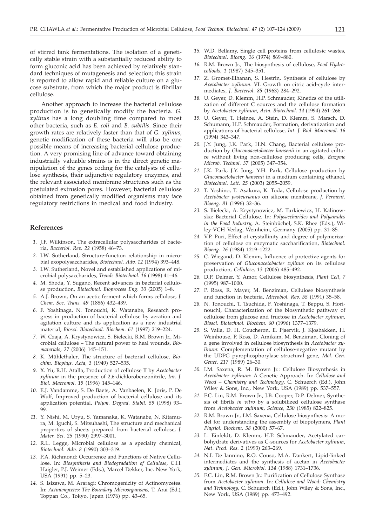of stirred tank fermentations. The isolation of a genetically stable strain with a substantially reduced ability to form gluconic acid has been achieved by relatively standard techniques of mutagenesis and selection; this strain is reported to allow rapid and reliable culture on a glucose substrate, from which the major product is fibrillar cellulose.

Another approach to increase the bacterial cellulose production is to genetically modify the bacteria. *G. xylinus* has a long doubling time compared to most other bacteria, such as *E. coli* and *B. subtilis*. Since their growth rates are relatively faster than that of *G. xylinus*, genetic modification of these bacteria will also be one possible means of increasing bacterial cellulose production. A very promising line of advance toward obtaining industrially valuable strains is in the direct genetic manipulation of the genes coding for the catalysts of cellulose synthesis, their adjunctive regulatory enzymes, and the relevant associated membrane structures such as the postulated extrusion pores. However, bacterial cellulose obtained from genetically modified organisms may face regulatory restrictions in medical and food industry.

# **References**

- *1.* J.F. Wilkinson, The extracellular polysaccharides of bacteria, *Bacteriol*. *Rev*. *22* (1958) 46–73.
- *2.* I.W. Sutherland, Structure-function relationship in microbial exopolysaccharides, *Biotechnol. Adv. 12* (1994) 393–448.
- *3.* I.W. Sutherland, Novel and established applications of microbial polysaccharides, *Trends Biotechnol*. *16* (1998) 41–46.
- *4.* M. Shoda, Y. Sugano, Recent advances in bacterial cellulose production, *Biotechnol. Bioprocess Eng. 10* (2005) 1–8.
- *5.* A.J. Brown, On an acetic ferment which forms cellulose, *J. Chem. Soc. Trans. 49* (1886) 432–439.
- *6.* F. Yoshinaga, N. Tonouchi, K. Watanabe, Research progress in production of bacterial cellulose by aeration and agitation culture and its application as a new industrial material, *Biosci. Biotechnol. Biochem. 61* (1997) 219–224.
- *7.* W. Czaja, A. Krystynowicz, S. Bielecki, R.M. Brown Jr., Microbial cellulose – The natural power to heal wounds, *Biomaterials, 27* (2006) 145–151.
- *8.* K. Mühlethaler*,* The structure of bacterial cellulose, *Biochim. Biophys. Acta, 3* (1949) 527–535.
- *9.* X. Yu, R.H. Atalla, Production of cellulose II by *Acetobacter xylinum* in the presence of 2,6-dichlorobenzonitrile, *Int*. *J*. *Biol*. *Macromol*. *19* (1996) 145–146.
- *10.* E.J. Vandamme, S. De Baets, A. Vanbaelen, K. Joris, P. De Wulf, Improved production of bacterial cellulose and its application potential, *Polym. Degrad. Stabil. 59* (1998) 93– 99.
- *11.* Y. Nishi, M. Uryu, S. Yamanaka, K. Watanabe, N. Kitamura, M. Iguchi, S. Mitsuhashi, The structure and mechanical properties of sheets prepared from bacterial cellulose, *J*. *Mater*. *Sci*. *25* (1990) 2997–3001.
- *12.* R.L. Legge, Microbial cellulose as a specialty chemical, *Biotechnol*. *Adv*. *8* (1990) 303–319.
- *13.* P.A. Richmond: Occurrence and Functions of Native Cellulose. In: *Biosynthesis and Biodegradation of Cellulose*, C.H. Haigler, P.J. Weimer (Eds.), Marcel Dekker, Inc. New York, USA (1991) pp. 5–23.
- *14.* S. Isizawa, M. Araragi: Chromogenicity of Actinomycetes. In: *Actinomycetes: The Boundary Microorganisms,* T. Arai (Ed.), Toppan Co., Tokyo, Japan (1976) pp. 43–65.
- *15.* W.D. Bellamy, Single cell proteins from cellulosic wastes, *Biotechnol*. *Bioeng. 16* (1974) 869–880.
- *16.* R.M. Brown Jr., The biosynthesis of cellulose, *Food Hydrocolloids, 1* (1987) 345–351.
- *17.* Z. Gromet-Elhanan, S. Hestrin, Synthesis of cellulose by *Acetobacter xylinum*. VI. Growth on citric acid-cycle intermediates, *J*. *Bacteriol*. *85* (1963) 284–292.
- *18.* U. Geyer, D. Klemm, H.P. Schmauder, Kinetics of the utilization of different C sources and the cellulose formation by *Acetobacter xylinum*, *Acta*. *Biotechnol*. *14* (1994) 261–266.
- *19.* U. Geyer, T. Heinze, A. Stein, D. Klemm, S. Marsch, D. Schumann, H.P. Schmauder, Formation, derivatization and applications of bacterial cellulose, *Int. J. Biol. Macromol. 16* (1994) 343–347.
- *20.* J.Y. Jung, J.K. Park, H.N. Chang, Bacterial cellulose production by *Gluconoacetobacter hansenii* in an agitated culture without living non-cellulose producing cells, *Enzyme Microb. Technol. 37* (2005) 347–354.
- *21.* J.K. Park, J.Y. Jung, Y.H. Park, Cellulose production by *Gluconacetobacter hansenii* in a medium containing ethanol, *Biotechnol. Lett. 25* (2003) 2055–2059.
- *22.* T. Yoshino, T. Asakura, K. Toda, Cellulose production by *Acetobacter pasteurianus* on silicone membrane, *J. Ferment. Bioeng. 81* (1996) 32–36.
- *23.* S. Bielecki, A. Krystynowicz, M. Turkiewicz, H. Kalinowska: Bacterial Cellulose. In: *Polysaccharides and Polyamides in the Food Industry*, A. Steinbüchel, S.K. Rhee (Eds.), Wiley-VCH Verlag, Weinheim, Germany (2005) pp. 31–85.
- *24.* V.P. Puri, Effect of crystallinity and degree of polymerization of cellulose on enzymatic saccharification, *Biotechnol. Bioeng. 26* (1984) 1219–1222.
- *25.* C. Wiegand, D. Klemm, Influence of protective agents for preservation of *Gluconacetobacter xylinus* on its cellulose production, *Cellulose, 13* (2006) 485–492.
- *26.* D.P. Delmer, Y. Amor, Cellulose biosynthesis, *Plant Cell*, *7* (1995) 987–1000.
- *27.* P. Ross, R. Mayer, M. Benziman, Cellulose biosynthesis and function in bacteria, *Microbiol. Rev. 55* (1991) 35–58.
- *28.* N. Tonouchi, T. Tsuchida, F. Yoshinaga, T. Beppu, S. Horinouchi, Characterization of the biosynthetic pathway of cellulose from glucose and fructose in *Acetobacter xylinum, Biosci. Biotechnol. Biochem. 60* (1996) 1377–1379.
- *29.* S. Valla, D. H. Coucheron, E. Fjaervik, J. Kjosbakken, H. Weinhouse, P. Ross, D. Amikam, M. Benziman, Cloning of a gene involved in cellulose biosynthesis in *Acetobacter xylinum*: Complementation of cellulose-negative mutant by the UDPG pyrophosphorylase structural gene, *Mol. Gen. Genet. 217* (1989) 26–30.
- *30.* I.M. Saxena, R. M. Brown Jr.: Cellulose Biosynthesis in *Acetobacter xylinum*: A Genetic Approach. In: *Cellulose and Wood – Chemistry and Technology*, C. Schuerch (Ed.), John Wiley & Sons, Inc., New York, USA (1989) pp. 537–557.
- *31.* F.C. Lin, R.M. Brown Jr., J.B. Cooper, D.P. Delmer, Synthesis of fibrils *in vitro* by a solubilized cellulose synthase from *Acetobacter xylinum*, *Science, 230* (1985) 822–825.
- *32.* R.M. Brown Jr., I.M. Saxena, Cellulose biosynthesis: A model for understanding the assembly of biopolymers, *Plant Physiol. Biochem. 38* (2000) 57–67.
- *33.* L. Einfeldt, D. Klemm, H.P. Schmauder, Acetylated carbohydrate derivatives as C-sources for *Acetobacter xylinum*, *Nat*. *Prod*. *Res*. *2* (1993) 263–269.
- *34.* N.I. De Iannino, R.O. Couso, M.A. Dankert, Lipid-linked intermediates and the synthesis of acetan in *Acetobacter xylinum*, *J. Gen. Microbiol. 134* (1988) 1731–1736.
- *35.* F.C. Lin, R.M. Brown Jr.: Purification of Cellulose Synthase from *Acetobacter xylinum*. In: *Cellulose and Wood: Chemistry and Technology*, C. Schuerch (Ed.), John Wiley & Sons, Inc., New York, USA (1989) pp. 473–492.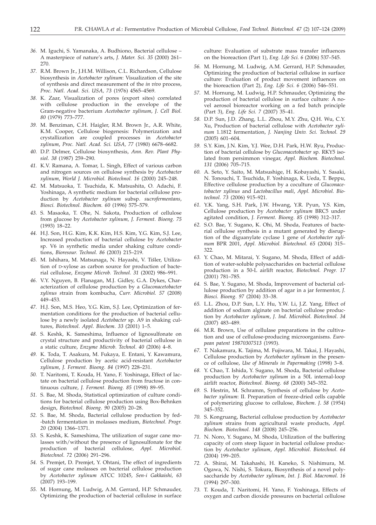- *36.* M. Iguchi, S. Yamanaka, A. Budhiono, Bacterial cellulose A masterpiece of nature's arts, *J. Mater. Sci. 35* (2000) 261– 270.
- *37.* R.M. Brown Jr., J.H.M. Willison, C.L. Richardson, Cellulose biosynthesis in *Acetobacter xylinum*: Visualization of the site of synthesis and direct measurement of the *in vivo* process, *Proc*. *Natl*. *Acad*. *Sci*. *USA, 73* (1976) 4565–4569.
- *38.* K. Zaar, Visualization of pores (export sites) correlated with cellulose production in the envelope of the Gram-negative bacterium *Acetobacter xylinum*, *J*. *Cell Biol*. *80* (1979) 773–777.
- *39.* M. Benziman, C.H. Haigler, R.M. Brown Jr., A.R. White, K.M. Cooper, Cellulose biogenesis: Polymerization and crystallization are coupled processes in *Acetobacter xylinum*, *Proc. Natl. Acad. Sci. USA, 77* (1980) 6678–6682.
- *40.* D.P. Delmer, Cellulose biosynthesis, *Ann*. *Rev*. *Plant Physiol*. *38* (1987) 259–290.
- *41.* K.V. Ramana, A. Tomar, L. Singh, Effect of various carbon and nitrogen sources on cellulose synthesis by *Acetobacter xylinum*, *World J. Microbiol. Biotechnol. 16* (2000) 245–248.
- *42.* M. Matsuoka, T. Tsuchida, K. Matsushita, O. Adachi, F. Yoshinaga, A synthetic medium for bacterial cellulose production by *Acetobacter xylinum* subsp. *sucrofermentans*, *Biosci. Biotechnol. Biochem. 60* (1996) 575–579.
- *43.* S. Masaoka, T. Ohe, N. Sakota, Production of cellulose from glucose by *Acetobacter xylinum, J. Ferment. Bioeng. 75* (1993) 18–22.
- *44.* H.J. Son, H.G. Kim, K.K. Kim, H.S. Kim, Y.G. Kim, S.J. Lee, Increased production of bacterial cellulose by *Acetobacter* sp. V6 in synthetic media under shaking culture conditions, *Bioresour. Technol. 86* (2003) 215–219.
- 45. M. Ishihara, M. Matsunaga, N. Hayashi, V. Tišler, Utilization of D-xylose as carbon source for production of bacterial cellulose, *Enzyme Microb. Technol. 31* (2002) 986–991.
- *46.* V.Y. Nguyen, B. Flanagan, M.J. Gidley, G.A. Dykes, Characterization of cellulose production by a *Gluconacetobacter xylinus s*train from kombucha, *Curr. Microbiol. 57* (2008) 449–453.
- *47.* H.J. Son, M.S. Heo, Y.G. Kim, S.J. Lee, Optimization of fermentation conditions for the production of bacterial cellulose by a newly isolated *Acetobacter* sp. A9 in shaking cultures, *Biotechnol*. *Appl*. *Biochem*. *33* (2001) 1–5.
- *48.* S. Keshk, K. Sameshima, Influence of lignosulfonate on crystal structure and productivity of bacterial cellulose in a static culture, *Enzyme Microb. Technol*. *40* (2006) 4–8.
- *49.* K. Toda, T. Asakura, M. Fukaya, E. Entani, Y. Kawamura, Cellulose production by acetic acid-resistant *Acetobacter xylinum*, *J. Ferment. Bioeng. 84* (1997) 228–231.
- *50.* T. Naritomi, T. Kouda, H. Yano, F. Yoshinaga, Effect of lactate on bacterial cellulose production from fructose in continuous culture, *J. Ferment. Bioeng. 85* (1998) 89–95.
- *51.* S. Bae, M. Shoda, Statistical optimization of culture conditions for bacterial cellulose production using Box-Behnken design, *Biotechnol. Bioeng*. *90* (2005) 20–28.
- *52.* S. Bae, M. Shoda, Bacterial cellulose production by fed- -batch fermentation in molasses medium, *Biotechnol. Progr. 20* (2004) 1366–1371.
- *53.* S. Keshk, K. Sameshima, The utilization of sugar cane molasses with/without the presence of lignosulfonate for the production of bacterial cellulose, *Appl*. *Microbiol*. *Biotechnol*. *72* (2006) 291–296.
- *54.* S. Premjet, D. Premjet, Y. Ohtani, The effect of ingredients of sugar cane molasses on bacterial cellulose production by *Acetobacter xylinum* ATCC 10245, *Sen-i Gakkaishi, 63* (2007) 193–199.
- *55.* M. Hornung, M. Ludwig, A.M. Gerrard, H.P. Schmauder, Optimizing the production of bacterial cellulose in surface

culture: Evaluation of substrate mass transfer influences on the bioreaction (Part 1), *Eng. Life Sci. 6* (2006) 537–545.

- *56.* M. Hornung, M. Ludwig, A.M. Gerrard, H.P. Schmauder, Optimizing the production of bacterial cellulose in surface culture: Evaluation of product movement influences on the bioreaction (Part 2), *Eng. Life Sci. 6* (2006) 546–551.
- *57.* M. Hornung, M. Ludwig, H.P. Schmauder, Optimizing the production of bacterial cellulose in surface culture: A novel aerosol bioreactor working on a fed batch principle (Part 3), *Eng. Life Sci. 7* (2007) 35–41.
- *58.* D.P. Sun, J.D. Zhang, L.L. Zhou, M.Y. Zhu, Q.H. Wu, C.Y. Xu, Production of bacterial cellulose with *Acetobacter xylinum* 1.1812 fermentation, *J. Nanjing Univ. Sci. Technol. 29* (2005) 601–604.
- *59.* S.Y. Kim, J.N. Kim, Y.J. Wee, D.H. Park, H.W. Ryu, Production of bacterial cellulose by *Gluconacetobacter* sp. RKY5 isolated from persimmon vinegar, *Appl. Biochem. Biotechnol. 131* (2006) 705–715.
- *60.* A. Seto, Y. Saito, M. Matsushige, H. Kobayashi, Y. Sasaki, N. Tonouchi, T. Tsuchida, F. Yoshinaga, K. Ueda, T. Beppu, Effective cellulose production by a coculture of *Gluconacetobacter xylinus* and *Lactobacillus mali*, *Appl. Microbiol. Biotechnol. 73* (2006) 915–921.
- *61.* Y.K. Yang, S.H. Park, J.W. Hwang, Y.R. Pyun, Y.S. Kim, Cellulose production by *Acetobacter xylinum* BRC5 under agitated condition, *J. Ferment. Bioeng. 85* (1998) 312–317.
- *62.* S.O. Bae, Y. Sugano, K. Ohi, M. Shoda, Features of bacterial cellulose synthesis in a mutant generated by disruption of the diguanylate cyclase 1 gene of *Acetobacter xylinum* BPR 2001, *Appl. Microbiol. Biotechnol. 65* (2004) 315– 322.
- *63.* Y. Chao, M. Mitarai, Y. Sugano, M. Shoda, Effect of addition of water-soluble polysaccharides on bacterial cellulose production in a 50-L airlift reactor, *Biotechnol. Progr. 17* (2001) 781–785.
- *64.* S. Bae, Y. Sugano, M. Shoda, Improvement of bacterial cellulose production by addition of agar in a jar fermentor, *J. Biosci. Bioeng. 97* (2004) 33–38.
- *65.* L.L. Zhou, D.P. Sun, L.Y. Hu, Y.W. Li, J.Z. Yang, Effect of addition of sodium alginate on bacterial cellulose production by *Acetobacter xylinum*, *J*. *Ind*. *Microbiol*. *Biotechnol*. *34* (2007) 483–489.
- *66.* M.R. Brown, Use of cellulase preparations in the cultivation and use of cellulose-producing microorganisms. *European patent 19870307513* (1993).
- *67.* T. Nakamura, K. Tajima, M. Fujiwara, M. Takai, J. Hayashi, Cellulose production by *Acetobacter xylinum* in the presence of cellulose, *Use of Minerals in Papermaking* (1998) 3–8.
- *68.* Y. Chao, T. Ishida, Y. Sugano, M. Shoda, Bacterial cellulose production by *Acetobacter xylinum* in a 50L internal-loop airlift reactor, *Biotechnol. Bioeng. 68* (2000) 345–352.
- *69.* S. Hestrin, M. Schramm, Synthesis of cellulose by *Acetobacter xylinum*: II. Preparation of freeze-dried cells capable of polymerizing glucose to cellulose, *Biochem*. *J*. *58* (1954) 345–352.
- *70.* S. Kongruang, Bacterial cellulose production by *Acetobacter xylinum* strains from agricultural waste products, *Appl. Biochem. Biotechnol. 148* (2008) 245–256.
- *71.* N. Noro, Y. Sugano, M. Shoda, Utilization of the buffering capacity of corn steep liquor in bacterial cellulose production by *Acetobacter xylinum*, *Appl*. *Microbiol*. *Biotechnol*. *64* (2004) 199–205.
- *72.* A. Shirai, M. Takahashi, H. Kaneko, S. Nishimura, M. Ogawa, N. Nishi, S. Tokura, Biosynthesis of a novel polysaccharide by *Acetobacter xylinum, Int. J. Biol. Macromol. 16* (1994) 297–300.
- *73.* T. Kouda, T. Naritomi, H. Yano, F. Yoshinaga, Effects of oxygen and carbon dioxide pressures on bacterial cellulose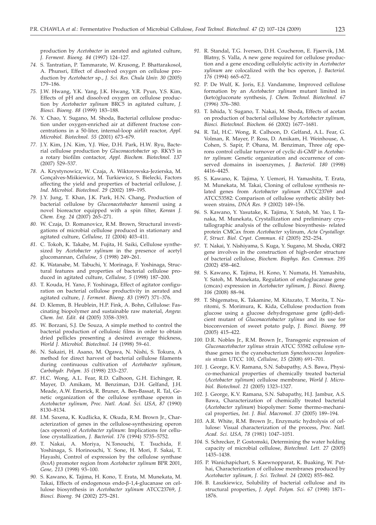production by *Acetobacter* in aerated and agitated culture, *J. Ferment. Bioeng. 84* (1997) 124–127.

- *74.* S. Tantratian, P. Tammarate, W. Krusong, P. Bhattarakosol, A. Phunsri, Effect of dissolved oxygen on cellulose production by *Acetobacter* sp., *J. Sci. Res. Chula Univ. 30* (2005) 179–186.
- *75.* J.W. Hwang, Y.K. Yang, J.K. Hwang, Y.R. Pyun, Y.S. Kim, Effects of pH and dissolved oxygen on cellulose production by *Acetobacter xylinum* BRC5 in agitated culture, *J. Biosci. Bioeng. 88* (1999) 183–188.
- *76.* Y. Chao, Y. Sugano, M. Shoda, Bacterial cellulose production under oxygen-enriched air at different fructose concentrations in a 50-liter, internal-loop airlift reactor, *Appl. Microbiol. Biotechnol. 55* (2001) 673–679.
- *77.* J.Y. Kim, J.N. Kim, Y.J. Wee, D.H. Park, H.W. Ryu, Bacterial cellulose production by *Gluconacetobacter* sp. RKY5 in a rotary biofilm contactor, *Appl. Biochem. Biotechnol. 137* (2007) 529–537.
- *78.* A. Krystynowicz, W. Czaja, A. Wiktorowska-Jezierska, M. Gonçalves-Miśkiewicz, M. Turkiewicz, S. Bielecki, Factors affecting the yield and properties of bacterial cellulose, *J*. *Ind*. *Microbiol*. *Biotechnol*. *29* (2002) 189–195.
- *79.* J.Y. Jung, T. Khan, J.K. Park, H.N. Chang, Production of bacterial cellulose by *Gluconacetobacter hansenii* using a novel bioreactor equipped with a spin filter, *Korean J. Chem. Eng*. *24* (2007) 265–271.
- *80.* W. Czaja, D. Romanovicz, R.M. Brown, Structural investigations of microbial cellulose produced in stationary and agitated culture, *Cellulose, 11* (2004) 403–411.
- *81.* C. Tokoh, K. Takabe, M. Fujita, H. Saiki, Cellulose synthesized by *Acetobacter xylinum* in the presence of acetyl glucomannan, *Cellulose, 5* (1998) 249–261.
- *82.* K. Watanabe, M. Tabuchi, Y. Morinaga, F. Yoshinaga, Structural features and properties of bacterial cellulose produced in agitated culture, *Cellulose, 5* (1998) 187–200.
- *83.* T. Kouda, H. Yano, F. Yoshinaga, Effect of agitator configuration on bacterial cellulose productivity in aerated and agitated culture, *J. Ferment*. *Bioeng*. *83* (1997) 371–376.
- *84.* D. Klemm, B. Heublein, H.P. Fink, A. Bohn, Cellulose: Fascinating biopolymer and sustainable raw material, *Angew. Chem. Int. Edit. 44* (2005) 3358–3393.
- *85.* W. Borzani, S.J. De Souza, A simple method to control the bacterial production of cellulosic films in order to obtain dried pellicles presenting a desired average thickness, *World J. Microbiol. Biotechnol. 14* (1998) 59–61.
- *86.* N. Sakairi, H. Asano, M. Ogawa, N. Nishi, S. Tokura, A method for direct harvest of bacterial cellulose filaments during continuous cultivation of *Acetobacter xylinum, Carbohydr. Polym. 35* (1998) 233–237.
- *87.* H.C. Wong, A.L. Fear, R.D. Calhoon, G.H. Eichinger, R. Mayer, D. Amikam, M. Benziman, D.H. Gelfand, J.H. Meade, A.W. Emerick, R. Bruner, A. Ben-Bassat, R. Tal, Genetic organization of the cellulose synthase operon in *Acetobacter xylinum*, *Proc. Natl. Acad. Sci. USA*, *87* (1990) 8130–8134.
- *88.* I.M. Saxena, K. Kudlicka, K. Okuda, R.M. Brown Jr., Characterization of genes in the cellulose-synthesizing operon (acs operon) of *Acetobacter xylinum*: Implications for cellulose crystallization, *J. Bacteriol. 176* (1994) 5735–5752.
- *89.* T. Nakai, A. Moriya, N.Tonouchi, T. Tsuchida, F. Yoshinaga, S. Horinouchi, Y. Sone, H. Mori, F. Sakai, T. Hayashi, Control of expression by the cellulose synthase (*bcsA*) promoter region from *Acetobacter xylinum* BPR 2001, *Gene, 213* (1998) 93–100.
- *90.* S. Kawano, K. Tajima, H. Kono, T. Erata, M. Munekata, M. Takai, Effects of endogenous endo- $\beta$ -1,4-glucanase on cellulose biosynthesis in *Acetobacter xylinum* ATCC23769, *J. Biosci. Bioeng. 94* (2002) 275–281.
- *91.* R. Standal, T.G. Iversen, D.H. Coucheron, E. Fjaervik, J.M. Blatny, S. Valla, A new gene required for cellulose production and a gene encoding cellulolytic activity in *Acetobacter xylinum* are colocalized with the bcs operon, *J. Bacteriol. 176* (1994) 665–672.
- *92.* P. De Wulf, K. Joris, E.J. Vandamme, Improved cellulose formation by an *Acetobacter xylinum* mutant limited in (keto)gluconate synthesis, *J. Chem. Technol. Biotechnol. 67* (1996) 376–380.
- *93.* T. Ishida, Y. Sugano, T. Nakai, M. Shoda, Effects of acetan on production of bacterial cellulose by *Acetobacter xylinum, Biosci. Biotechnol. Biochem. 66* (2002) 1677–1681.
- *94.* R. Tal, H.C. Wong, R. Calhoon, D. Gelfand, A.L. Fear, G. Volman, R. Mayer, P. Ross, D. Amikam, H. Weinhouse, A. Cohen, S. Sapir, P. Ohana, M. Benziman, Three *cdg* operons control cellular turnover of cyclic di-GMP in *Acetobacter xylinum*: Genetic organization and occurrence of conserved domains in isoenzymes, *J. Bacteriol. 180* (1998) 4416–4425.
- *95.* S. Kawano, K. Tajima, Y. Uemori, H. Yamashita, T. Erata, M. Munekata, M. Takai, Cloning of cellulose synthesis related genes from *Acetobacter xylinum* ATCC23769 and ATCC53582: Comparison of cellulose synthetic ability between strains, *DNA Res. 9* (2002) 149–156.
- *96.* S. Kawano, Y. Yasutake, K. Tajima, Y. Satoh, M. Yao, I. Tanaka, M. Munekata, Crystallization and preliminary crystallographic analysis of the cellulose biosynthesis- related protein CMCax from *Acetobacter* xylinum, *Acta Crystallogr. F, Struct. Biol. Cryst. Commun*. *61* (2005) 252–254.
- *97.* T. Nakai, Y. Nishiyama, S. Kuga, Y. Sugano, M. Shoda, ORF2 gene involves in the construction of high-order structure of bacterial cellulose, *Biochem. Biophys. Res. Commun. 295* (2002) 458–462.
- *98.* S. Kawano, K. Tajima, H. Kono, Y. Numata, H. Yamashita, Y. Satoh, M. Munekata, Regulation of endoglucanase gene (cmcax) expression in *Acetobacter xylinum*, *J. Biosci. Bioeng. 106* (2008) 88–94.
- *99.* T. Shigematsu, K. Takamine, M. Kitazato, T. Morita, T. Naritomi, S. Morimura, K. Kida, Cellulose production from glucose using a glucose dehydrogenase gene (*gdh*)-deficient mutant of *Gluconacetobacter xylinus* and its use for bioconversion of sweet potato pulp, *J. Biosci. Bioeng. 99* (2005) 415–422.
- *100.* D.R. Nobles Jr., R.M. Brown Jr., Transgenic expression of *Gluconacetobactor xylinus* strain ATCC 53582 cellulose synthase genes in the cyanobacterium *Synechococcus leopoliensis* strain UTCC 100, *Cellulose, 15* (2008) 691–701.
- *101.* J. George, K.V. Ramana, S.N. Sabapathy, A.S. Bawa, Physico-mechanical properties of chemically treated bacterial (*Acetobacter xylinum*) cellulose membrane, *World J. Microbiol. Biotechnol. 21* (2005) 1323–1327.
- *102.* J. George, K.V. Ramana, S.N. Sabapathy, H.J. Jambur, A.S. Bawa, Characterization of chemically treated bacterial (*Acetobacter xylinum*) biopolymer: Some thermo-mechanical properties, *Int. J. Biol. Macromol. 37* (2005) 189–194.
- *103.* A.R. White, R.M. Brown Jr., Enzymatic hydrolysis of cellulose: Visual characterization of the process, *Proc. Natl. Acad. Sci. USA, 78* (1981) 1047–1051.
- *104.* S. Schrecker, P. Gostomski, Determining the water holding capacity of microbial cellulose, *Biotechnol. Lett. 27* (2005) 1435–1438.
- *105.* P. Wanichapichart, S. Kaewnopparat, K. Buaking, W. Puthai, Characterization of cellulose membranes produced by *Acetobacter xylinum*, *J. Sci. Technol. 24* (2002) 855–862.
- *106.* B. £aszkiewicz, Solubility of bacterial cellulose and its structural properties, *J. Appl. Polym. Sci. 67* (1998) 1871– 1876.